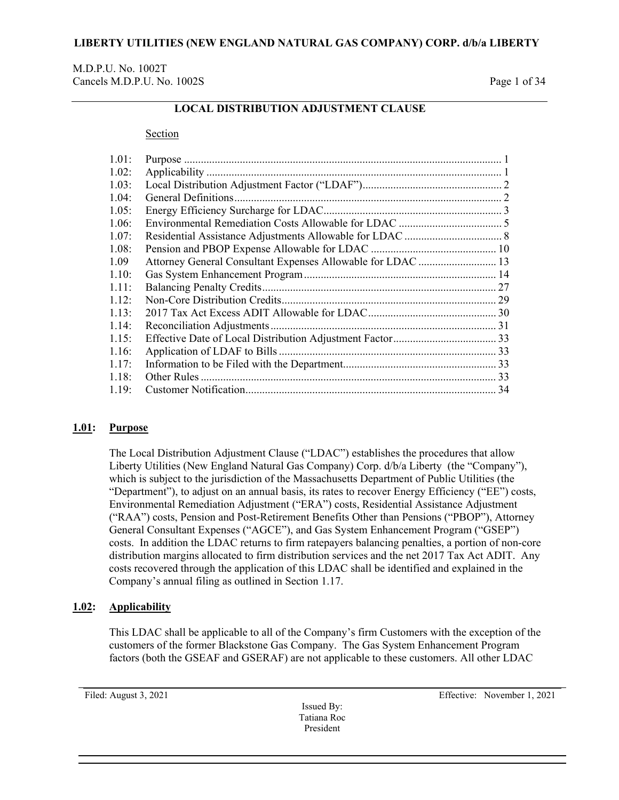## M.D.P.U. No. 1002T Cancels M.D.P.U. No. 1002S Page 1 of 34

# **LOCAL DISTRIBUTION ADJUSTMENT CLAUSE**

#### Section

| 1.01: |                                                             |  |
|-------|-------------------------------------------------------------|--|
| 1.02: |                                                             |  |
| 1.03: |                                                             |  |
| 1.04: |                                                             |  |
| 1.05: |                                                             |  |
| 1.06: |                                                             |  |
| 1.07: |                                                             |  |
| 1.08: |                                                             |  |
| 1.09  | Attorney General Consultant Expenses Allowable for LDAC  13 |  |
| 1.10: |                                                             |  |
| 1.11: |                                                             |  |
| 1.12: |                                                             |  |
| 1.13: |                                                             |  |
| 1.14: |                                                             |  |
| 1.15: |                                                             |  |
| 1.16: |                                                             |  |
| 1.17: |                                                             |  |
| 1.18: |                                                             |  |
| 1.19: |                                                             |  |
|       |                                                             |  |

## <span id="page-0-0"></span>**1.01: Purpose**

The Local Distribution Adjustment Clause ("LDAC") establishes the procedures that allow Liberty Utilities (New England Natural Gas Company) Corp. d/b/a Liberty (the "Company"), which is subject to the jurisdiction of the Massachusetts Department of Public Utilities (the "Department"), to adjust on an annual basis, its rates to recover Energy Efficiency ("EE") costs, Environmental Remediation Adjustment ("ERA") costs, Residential Assistance Adjustment ("RAA") costs, Pension and Post-Retirement Benefits Other than Pensions ("PBOP"), Attorney General Consultant Expenses ("AGCE"), and Gas System Enhancement Program ("GSEP") costs. In addition the LDAC returns to firm ratepayers balancing penalties, a portion of non-core distribution margins allocated to firm distribution services and the net 2017 Tax Act ADIT. Any costs recovered through the application of this LDAC shall be identified and explained in the Company's annual filing as outlined in Section 1.17.

### <span id="page-0-1"></span>**1.02: Applicability**

This LDAC shall be applicable to all of the Company's firm Customers with the exception of the customers of the former Blackstone Gas Company. The Gas System Enhancement Program factors (both the GSEAF and GSERAF) are not applicable to these customers. All other LDAC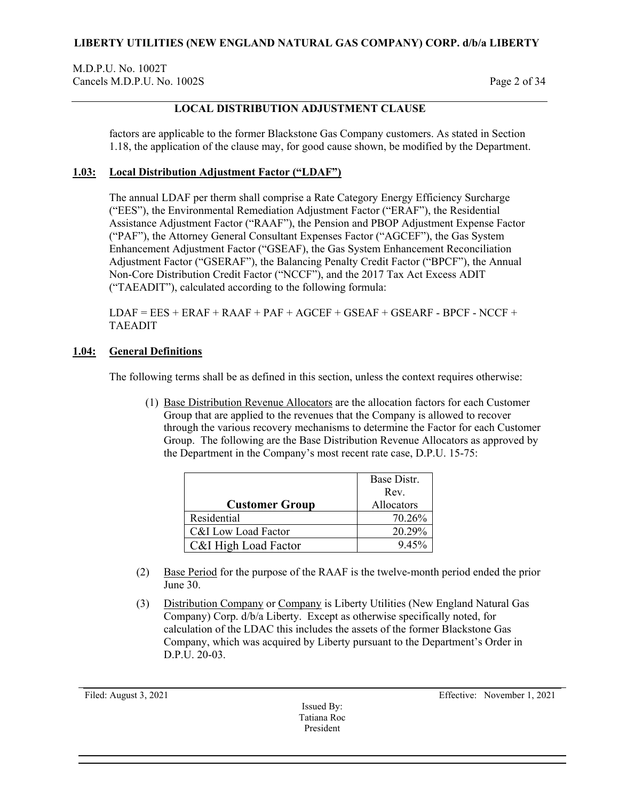M.D.P.U. No. 1002T Cancels M.D.P.U. No. 1002S Page 2 of 34

# **LOCAL DISTRIBUTION ADJUSTMENT CLAUSE**

factors are applicable to the former Blackstone Gas Company customers. As stated in Section 1.18, the application of the clause may, for good cause shown, be modified by the Department.

## <span id="page-1-0"></span>**1.03: Local Distribution Adjustment Factor ("LDAF")**

The annual LDAF per therm shall comprise a Rate Category Energy Efficiency Surcharge ("EES"), the Environmental Remediation Adjustment Factor ("ERAF"), the Residential Assistance Adjustment Factor ("RAAF"), the Pension and PBOP Adjustment Expense Factor ("PAF"), the Attorney General Consultant Expenses Factor ("AGCEF"), the Gas System Enhancement Adjustment Factor ("GSEAF), the Gas System Enhancement Reconciliation Adjustment Factor ("GSERAF"), the Balancing Penalty Credit Factor ("BPCF"), the Annual Non-Core Distribution Credit Factor ("NCCF"), and the 2017 Tax Act Excess ADIT ("TAEADIT"), calculated according to the following formula:

 $LDAF = EES + ERAF + RAAF + PAF + AGCEF + GSEAF + GSEARF - BPCF - NCCF +$ TAEADIT

## <span id="page-1-1"></span>**1.04: General Definitions**

The following terms shall be as defined in this section, unless the context requires otherwise:

(1) Base Distribution Revenue Allocators are the allocation factors for each Customer Group that are applied to the revenues that the Company is allowed to recover through the various recovery mechanisms to determine the Factor for each Customer Group. The following are the Base Distribution Revenue Allocators as approved by the Department in the Company's most recent rate case, D.P.U. 15-75:

|                       | Base Distr. |
|-----------------------|-------------|
|                       | Rev.        |
| <b>Customer Group</b> | Allocators  |
| Residential           | 70.26%      |
| C&I Low Load Factor   | 20.29%      |
| C&I High Load Factor  | 9.45%       |

- (2) Base Period for the purpose of the RAAF is the twelve-month period ended the prior June 30.
- (3) Distribution Company or Company is Liberty Utilities (New England Natural Gas Company) Corp. d/b/a Liberty. Except as otherwise specifically noted, for calculation of the LDAC this includes the assets of the former Blackstone Gas Company, which was acquired by Liberty pursuant to the Department's Order in D.P.U. 20-03.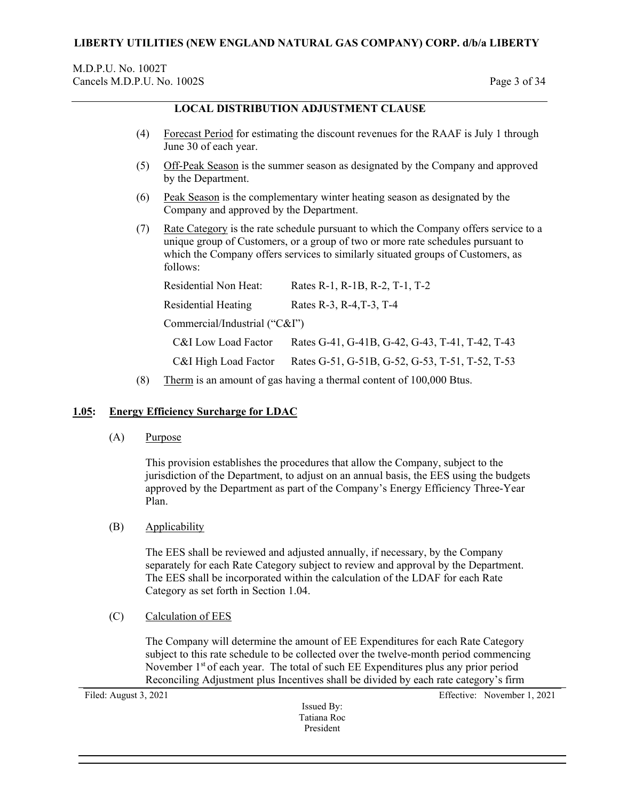### M.D.P.U. No. 1002T Cancels M.D.P.U. No. 1002S Page 3 of 34

## **LOCAL DISTRIBUTION ADJUSTMENT CLAUSE**

- (4) Forecast Period for estimating the discount revenues for the RAAF is July 1 through June 30 of each year.
- (5) Off-Peak Season is the summer season as designated by the Company and approved by the Department.
- (6) Peak Season is the complementary winter heating season as designated by the Company and approved by the Department.
- (7) Rate Category is the rate schedule pursuant to which the Company offers service to a unique group of Customers, or a group of two or more rate schedules pursuant to which the Company offers services to similarly situated groups of Customers, as follows:

| Residential Non Heat:         | Rates R-1, R-1B, R-2, T-1, T-2                  |
|-------------------------------|-------------------------------------------------|
| Residential Heating           | Rates R-3, R-4, T-3, T-4                        |
| Commercial/Industrial ("C&I") |                                                 |
| C&I Low Load Factor           | Rates G-41, G-41B, G-42, G-43, T-41, T-42, T-43 |
| C&I High Load Factor          | Rates G-51, G-51B, G-52, G-53, T-51, T-52, T-53 |
|                               |                                                 |

(8) Therm is an amount of gas having a thermal content of 100,000 Btus.

## <span id="page-2-0"></span>**1.05: Energy Efficiency Surcharge for LDAC**

(A) Purpose

This provision establishes the procedures that allow the Company, subject to the jurisdiction of the Department, to adjust on an annual basis, the EES using the budgets approved by the Department as part of the Company's Energy Efficiency Three-Year Plan.

(B) Applicability

The EES shall be reviewed and adjusted annually, if necessary, by the Company separately for each Rate Category subject to review and approval by the Department. The EES shall be incorporated within the calculation of the LDAF for each Rate Category as set forth in Section 1.04.

(C) Calculation of EES

The Company will determine the amount of EE Expenditures for each Rate Category subject to this rate schedule to be collected over the twelve-month period commencing November  $1<sup>st</sup>$  of each year. The total of such EE Expenditures plus any prior period Reconciling Adjustment plus Incentives shall be divided by each rate category's firm

Issued By: Tatiana Roc President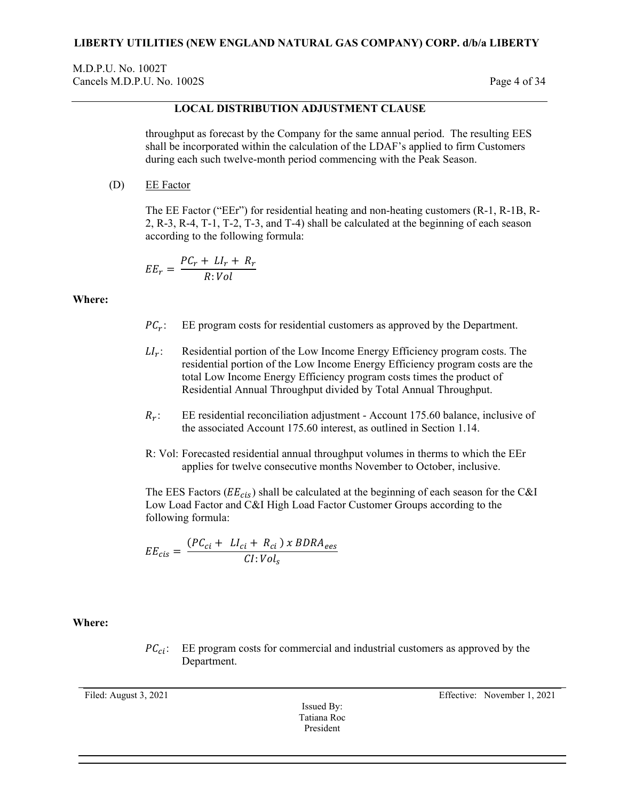M.D.P.U. No. 1002T Cancels M.D.P.U. No. 1002S Page 4 of 34

## **LOCAL DISTRIBUTION ADJUSTMENT CLAUSE**

throughput as forecast by the Company for the same annual period. The resulting EES shall be incorporated within the calculation of the LDAF's applied to firm Customers during each such twelve-month period commencing with the Peak Season.

(D) EE Factor

The EE Factor ("EEr") for residential heating and non-heating customers (R-1, R-1B, R-2, R-3, R-4, T-1, T-2, T-3, and T-4) shall be calculated at the beginning of each season according to the following formula:

$$
EE_r = \frac{PC_r + LI_r + R_r}{R:Vol}
$$

**Where:**

- $PC<sub>r</sub>$ : EE program costs for residential customers as approved by the Department.
- $LI_r$ : Residential portion of the Low Income Energy Efficiency program costs. The residential portion of the Low Income Energy Efficiency program costs are the total Low Income Energy Efficiency program costs times the product of Residential Annual Throughput divided by Total Annual Throughput.
- $R_r$ : EE residential reconciliation adjustment Account 175.60 balance, inclusive of the associated Account 175.60 interest, as outlined in Section 1.14.
- R: Vol: Forecasted residential annual throughput volumes in therms to which the EEr applies for twelve consecutive months November to October, inclusive.

The EES Factors ( $EE_{cis}$ ) shall be calculated at the beginning of each season for the C&I Low Load Factor and C&I High Load Factor Customer Groups according to the following formula:

$$
EE_{cis} = \frac{(PC_{ci} + LI_{ci} + R_{ci}) \times BDRA_{ees}}{CI:Vol_s}
$$

**Where:**

 $PC_{ci}$ : EE program costs for commercial and industrial customers as approved by the Department.

Issued By: Tatiana Roc President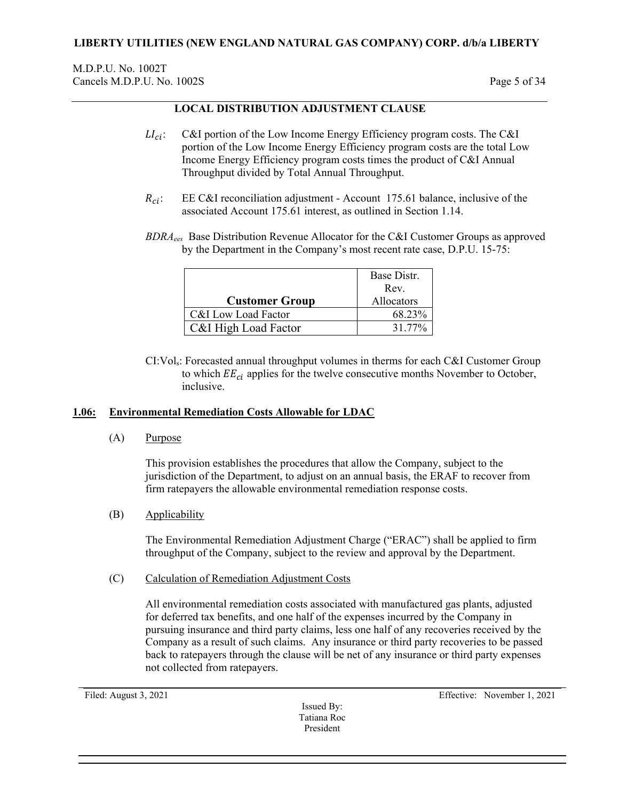# **LOCAL DISTRIBUTION ADJUSTMENT CLAUSE**

- $LI_{ci}$ : C&I portion of the Low Income Energy Efficiency program costs. The C&I portion of the Low Income Energy Efficiency program costs are the total Low Income Energy Efficiency program costs times the product of C&I Annual Throughput divided by Total Annual Throughput.
- $R_{ci}$ : EE C&I reconciliation adjustment Account 175.61 balance, inclusive of the associated Account 175.61 interest, as outlined in Section 1.14.
- *BDRAees* Base Distribution Revenue Allocator for the C&I Customer Groups as approved by the Department in the Company's most recent rate case, D.P.U. 15-75:

|                       | Base Distr. |
|-----------------------|-------------|
|                       | Rev.        |
| <b>Customer Group</b> | Allocators  |
| C&I Low Load Factor   | 68.23%      |
| C&I High Load Factor  | 31.77%      |

CI:Vols: Forecasted annual throughput volumes in therms for each C&I Customer Group to which  $EE_{ci}$  applies for the twelve consecutive months November to October, inclusive.

## <span id="page-4-0"></span>**1.06: Environmental Remediation Costs Allowable for LDAC**

(A) Purpose

This provision establishes the procedures that allow the Company, subject to the jurisdiction of the Department, to adjust on an annual basis, the ERAF to recover from firm ratepayers the allowable environmental remediation response costs.

(B) Applicability

The Environmental Remediation Adjustment Charge ("ERAC") shall be applied to firm throughput of the Company, subject to the review and approval by the Department.

(C) Calculation of Remediation Adjustment Costs

All environmental remediation costs associated with manufactured gas plants, adjusted for deferred tax benefits, and one half of the expenses incurred by the Company in pursuing insurance and third party claims, less one half of any recoveries received by the Company as a result of such claims. Any insurance or third party recoveries to be passed back to ratepayers through the clause will be net of any insurance or third party expenses not collected from ratepayers.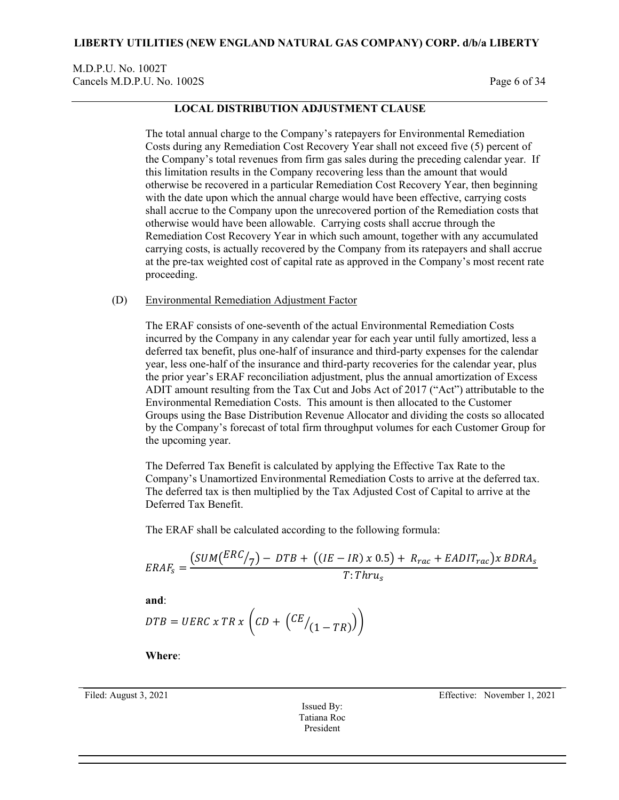M.D.P.U. No. 1002T Cancels M.D.P.U. No. 1002S Page 6 of 34

## **LOCAL DISTRIBUTION ADJUSTMENT CLAUSE**

The total annual charge to the Company's ratepayers for Environmental Remediation Costs during any Remediation Cost Recovery Year shall not exceed five (5) percent of the Company's total revenues from firm gas sales during the preceding calendar year. If this limitation results in the Company recovering less than the amount that would otherwise be recovered in a particular Remediation Cost Recovery Year, then beginning with the date upon which the annual charge would have been effective, carrying costs shall accrue to the Company upon the unrecovered portion of the Remediation costs that otherwise would have been allowable. Carrying costs shall accrue through the Remediation Cost Recovery Year in which such amount, together with any accumulated carrying costs, is actually recovered by the Company from its ratepayers and shall accrue at the pre-tax weighted cost of capital rate as approved in the Company's most recent rate proceeding.

### (D) Environmental Remediation Adjustment Factor

The ERAF consists of one-seventh of the actual Environmental Remediation Costs incurred by the Company in any calendar year for each year until fully amortized, less a deferred tax benefit, plus one-half of insurance and third-party expenses for the calendar year, less one-half of the insurance and third-party recoveries for the calendar year, plus the prior year's ERAF reconciliation adjustment, plus the annual amortization of Excess ADIT amount resulting from the Tax Cut and Jobs Act of 2017 ("Act") attributable to the Environmental Remediation Costs. This amount is then allocated to the Customer Groups using the Base Distribution Revenue Allocator and dividing the costs so allocated by the Company's forecast of total firm throughput volumes for each Customer Group for the upcoming year.

The Deferred Tax Benefit is calculated by applying the Effective Tax Rate to the Company's Unamortized Environmental Remediation Costs to arrive at the deferred tax. The deferred tax is then multiplied by the Tax Adjusted Cost of Capital to arrive at the Deferred Tax Benefit.

The ERAF shall be calculated according to the following formula:

$$
ERAF_s = \frac{(SUM(\frac{ERC}{7}) - DTB + ((IE - IR) \times 0.5) + R_{rac} + EADIT_{rac}) \times BDRA_s}{T: Thru_s}
$$

**and**:

$$
DTB = UERC \times TR \times \left( CD + \left( \frac{CE}{1 - TR} \right) \right)
$$

**Where**:

Issued By: Tatiana Roc President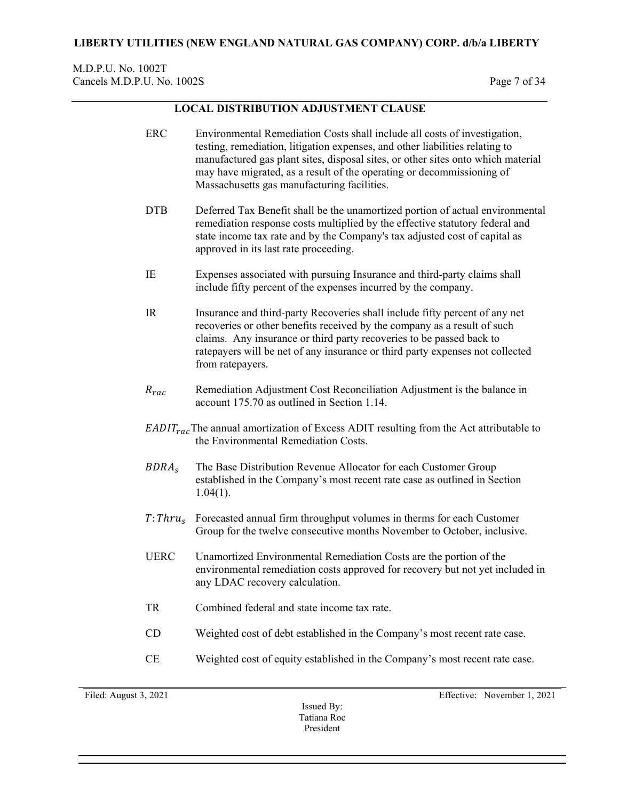## M.D.P.U. No. 1002T Cancels M.D.P.U. No. 1002S Page 7 of 34

## **LOCAL DISTRIBUTION ADJUSTMENT CLAUSE**

- ERC Environmental Remediation Costs shall include all costs of investigation, testing, remediation, litigation expenses, and other liabilities relating to manufactured gas plant sites, disposal sites, or other sites onto which material may have migrated, as a result of the operating or decommissioning of Massachusetts gas manufacturing facilities.
- DTB Deferred Tax Benefit shall be the unamortized portion of actual environmental remediation response costs multiplied by the effective statutory federal and state income tax rate and by the Company's tax adjusted cost of capital as approved in its last rate proceeding.
- IE Expenses associated with pursuing Insurance and third-party claims shall include fifty percent of the expenses incurred by the company.
- IR Insurance and third-party Recoveries shall include fifty percent of any net recoveries or other benefits received by the company as a result of such claims. Any insurance or third party recoveries to be passed back to ratepayers will be net of any insurance or third party expenses not collected from ratepayers.
- $R_{rac}$  Remediation Adjustment Cost Reconciliation Adjustment is the balance in account 175.70 as outlined in Section 1.14.
- $EADIT_{rac}$ The annual amortization of Excess ADIT resulting from the Act attributable to the Environmental Remediation Costs.
- The Base Distribution Revenue Allocator for each Customer Group established in the Company's most recent rate case as outlined in Section 1.04(1).
- $T: Thru_{s}$  Forecasted annual firm throughput volumes in therms for each Customer Group for the twelve consecutive months November to October, inclusive.
- UERC Unamortized Environmental Remediation Costs are the portion of the environmental remediation costs approved for recovery but not yet included in any LDAC recovery calculation.
- TR Combined federal and state income tax rate.
- CD Weighted cost of debt established in the Company's most recent rate case.
- CE Weighted cost of equity established in the Company's most recent rate case.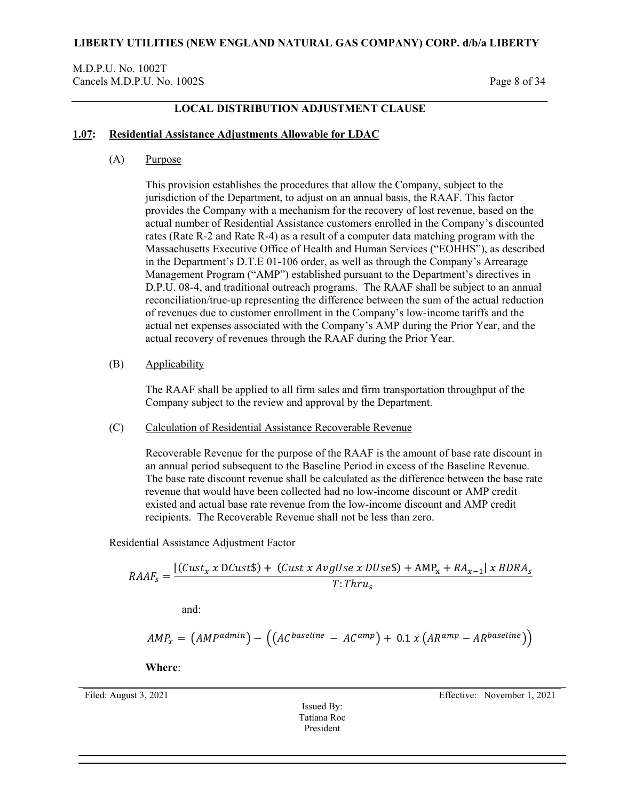## M.D.P.U. No. 1002T Cancels M.D.P.U. No. 1002S Page 8 of 34

## **LOCAL DISTRIBUTION ADJUSTMENT CLAUSE**

### <span id="page-7-0"></span>**1.07: Residential Assistance Adjustments Allowable for LDAC**

(A) Purpose

This provision establishes the procedures that allow the Company, subject to the jurisdiction of the Department, to adjust on an annual basis, the RAAF. This factor provides the Company with a mechanism for the recovery of lost revenue, based on the actual number of Residential Assistance customers enrolled in the Company's discounted rates (Rate R-2 and Rate R-4) as a result of a computer data matching program with the Massachusetts Executive Office of Health and Human Services ("EOHHS"), as described in the Department's D.T.E 01-106 order, as well as through the Company's Arrearage Management Program ("AMP") established pursuant to the Department's directives in D.P.U. 08-4, and traditional outreach programs. The RAAF shall be subject to an annual reconciliation/true-up representing the difference between the sum of the actual reduction of revenues due to customer enrollment in the Company's low-income tariffs and the actual net expenses associated with the Company's AMP during the Prior Year, and the actual recovery of revenues through the RAAF during the Prior Year.

### (B) Applicability

The RAAF shall be applied to all firm sales and firm transportation throughput of the Company subject to the review and approval by the Department.

(C) Calculation of Residential Assistance Recoverable Revenue

Recoverable Revenue for the purpose of the RAAF is the amount of base rate discount in an annual period subsequent to the Baseline Period in excess of the Baseline Revenue. The base rate discount revenue shall be calculated as the difference between the base rate revenue that would have been collected had no low-income discount or AMP credit existed and actual base rate revenue from the low-income discount and AMP credit recipients. The Recoverable Revenue shall not be less than zero.

Residential Assistance Adjustment Factor

$$
RAAF_s = \frac{[(Cust_x \times DCust\$) + (Cust \times AvgUse \times DUse\$) + AMP_x + RA_{x-1}]\times BDRA_s}{T: Thru_s}
$$

and:

$$
AMP_x = (AMP^{admin}) - ((AC^{baseline} - AC^{amp}) + 0.1 x (AR^{amp} - AR^{baseline}))
$$

**Where**:

Issued By: Tatiana Roc President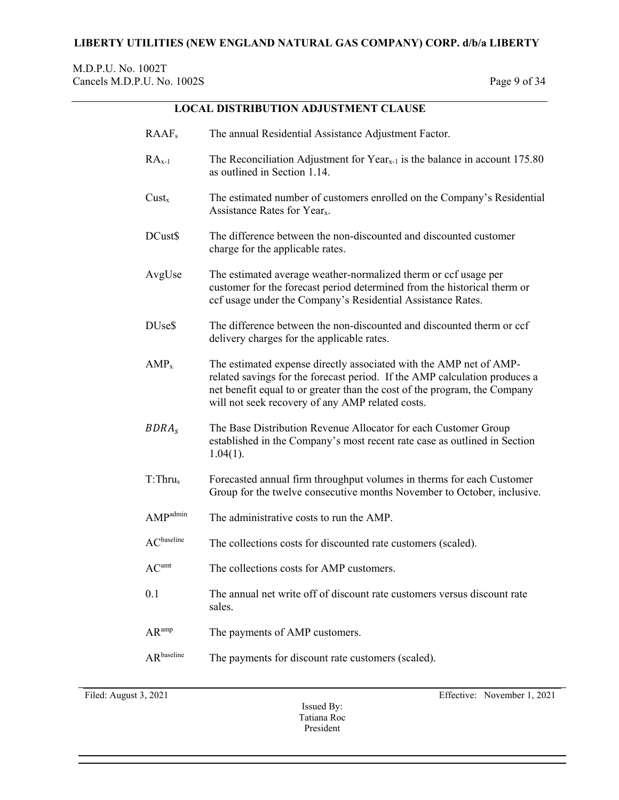# **LOCAL DISTRIBUTION ADJUSTMENT CLAUSE**

| RAAF <sub>s</sub>      | The annual Residential Assistance Adjustment Factor.                                                                                                                                                                                                                              |
|------------------------|-----------------------------------------------------------------------------------------------------------------------------------------------------------------------------------------------------------------------------------------------------------------------------------|
| $RAx-1$                | The Reconciliation Adjustment for $Year_{x-1}$ is the balance in account 175.80<br>as outlined in Section 1.14.                                                                                                                                                                   |
| $Cust_x$               | The estimated number of customers enrolled on the Company's Residential<br>Assistance Rates for Year <sub>x</sub> .                                                                                                                                                               |
| DCust\$                | The difference between the non-discounted and discounted customer<br>charge for the applicable rates.                                                                                                                                                                             |
| AvgUse                 | The estimated average weather-normalized therm or ccf usage per<br>customer for the forecast period determined from the historical therm or<br>ccf usage under the Company's Residential Assistance Rates.                                                                        |
| DU <sub>se</sub> \$    | The difference between the non-discounted and discounted therm or ccf<br>delivery charges for the applicable rates.                                                                                                                                                               |
| $AMP_x$                | The estimated expense directly associated with the AMP net of AMP-<br>related savings for the forecast period. If the AMP calculation produces a<br>net benefit equal to or greater than the cost of the program, the Company<br>will not seek recovery of any AMP related costs. |
| BDRA <sub>s</sub>      | The Base Distribution Revenue Allocator for each Customer Group<br>established in the Company's most recent rate case as outlined in Section<br>$1.04(1)$ .                                                                                                                       |
| T: Thru <sub>s</sub>   | Forecasted annual firm throughput volumes in therms for each Customer<br>Group for the twelve consecutive months November to October, inclusive.                                                                                                                                  |
| AMP <sup>admin</sup>   | The administrative costs to run the AMP.                                                                                                                                                                                                                                          |
| AC <sup>baseline</sup> | The collections costs for discounted rate customers (scaled).                                                                                                                                                                                                                     |
| AC <sup>amt</sup>      | The collections costs for AMP customers.                                                                                                                                                                                                                                          |
| 0.1                    | The annual net write off of discount rate customers versus discount rate<br>sales.                                                                                                                                                                                                |
| AR <sup>amp</sup>      | The payments of AMP customers.                                                                                                                                                                                                                                                    |
| AR <sup>baseline</sup> | The payments for discount rate customers (scaled).                                                                                                                                                                                                                                |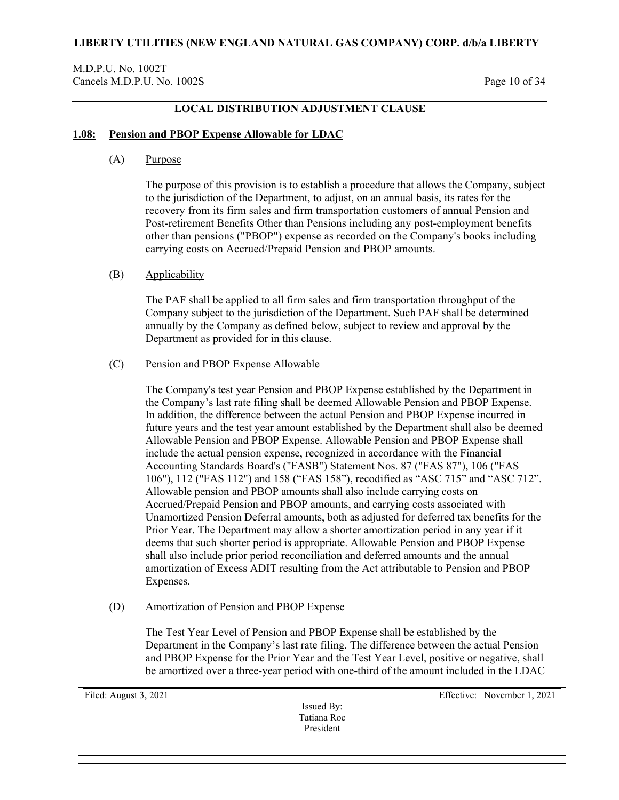## M.D.P.U. No. 1002T Cancels M.D.P.U. No. 1002S Page 10 of 34

## **LOCAL DISTRIBUTION ADJUSTMENT CLAUSE**

### <span id="page-9-0"></span>**1.08: Pension and PBOP Expense Allowable for LDAC**

(A) Purpose

The purpose of this provision is to establish a procedure that allows the Company, subject to the jurisdiction of the Department, to adjust, on an annual basis, its rates for the recovery from its firm sales and firm transportation customers of annual Pension and Post-retirement Benefits Other than Pensions including any post-employment benefits other than pensions ("PBOP") expense as recorded on the Company's books including carrying costs on Accrued/Prepaid Pension and PBOP amounts.

### (B) Applicability

The PAF shall be applied to all firm sales and firm transportation throughput of the Company subject to the jurisdiction of the Department. Such PAF shall be determined annually by the Company as defined below, subject to review and approval by the Department as provided for in this clause.

### (C) Pension and PBOP Expense Allowable

The Company's test year Pension and PBOP Expense established by the Department in the Company's last rate filing shall be deemed Allowable Pension and PBOP Expense. In addition, the difference between the actual Pension and PBOP Expense incurred in future years and the test year amount established by the Department shall also be deemed Allowable Pension and PBOP Expense. Allowable Pension and PBOP Expense shall include the actual pension expense, recognized in accordance with the Financial Accounting Standards Board's ("FASB") Statement Nos. 87 ("FAS 87"), 106 ("FAS 106"), 112 ("FAS 112") and 158 ("FAS 158"), recodified as "ASC 715" and "ASC 712". Allowable pension and PBOP amounts shall also include carrying costs on Accrued/Prepaid Pension and PBOP amounts, and carrying costs associated with Unamortized Pension Deferral amounts, both as adjusted for deferred tax benefits for the Prior Year. The Department may allow a shorter amortization period in any year if it deems that such shorter period is appropriate. Allowable Pension and PBOP Expense shall also include prior period reconciliation and deferred amounts and the annual amortization of Excess ADIT resulting from the Act attributable to Pension and PBOP Expenses.

### (D) Amortization of Pension and PBOP Expense

The Test Year Level of Pension and PBOP Expense shall be established by the Department in the Company's last rate filing. The difference between the actual Pension and PBOP Expense for the Prior Year and the Test Year Level, positive or negative, shall be amortized over a three-year period with one-third of the amount included in the LDAC

Issued By: Tatiana Roc President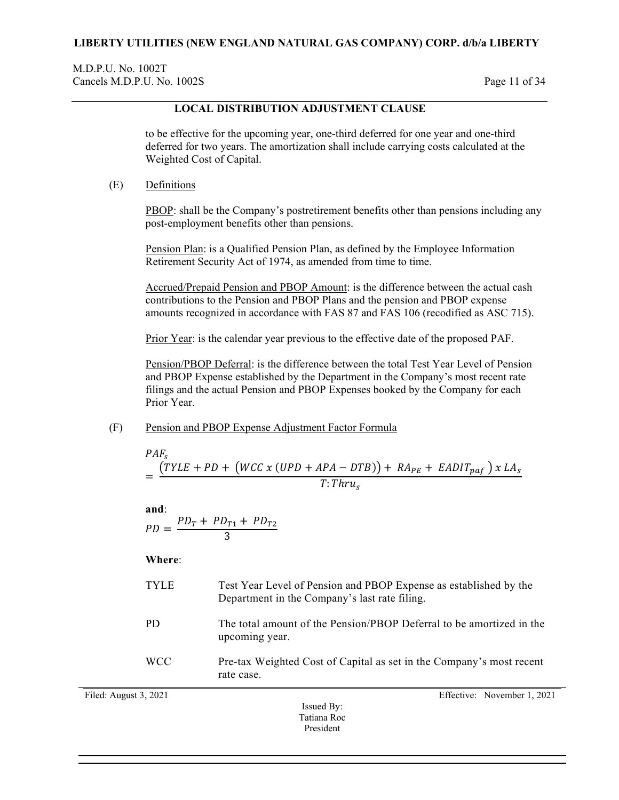M.D.P.U. No. 1002T Cancels M.D.P.U. No. 1002S Page 11 of 34

## **LOCAL DISTRIBUTION ADJUSTMENT CLAUSE**

to be effective for the upcoming year, one-third deferred for one year and one-third deferred for two years. The amortization shall include carrying costs calculated at the Weighted Cost of Capital.

(E) Definitions

PBOP: shall be the Company's postretirement benefits other than pensions including any post-employment benefits other than pensions.

Pension Plan: is a Qualified Pension Plan, as defined by the Employee Information Retirement Security Act of 1974, as amended from time to time.

Accrued/Prepaid Pension and PBOP Amount: is the difference between the actual cash contributions to the Pension and PBOP Plans and the pension and PBOP expense amounts recognized in accordance with FAS 87 and FAS 106 (recodified as ASC 715).

Prior Year: is the calendar year previous to the effective date of the proposed PAF.

Pension/PBOP Deferral: is the difference between the total Test Year Level of Pension and PBOP Expense established by the Department in the Company's most recent rate filings and the actual Pension and PBOP Expenses booked by the Company for each Prior Year.

(F) Pension and PBOP Expense Adjustment Factor Formula

$$
PAF_s
$$
  
= 
$$
\frac{(TYLE + PD + (WCC x (UPD + APA - DTB)) + RA_{PE} + EADIT_{paf}) x LA_s}{T: Thru_s}
$$

**and**:  $PD = \frac{PD_T + PD_{T1} + PD_{T2}}{3}$ 

**Where**:

| <b>TYLE</b>           | Test Year Level of Pension and PBOP Expense as established by the<br>Department in the Company's last rate filing. |
|-----------------------|--------------------------------------------------------------------------------------------------------------------|
| <b>PD</b>             | The total amount of the Pension/PBOP Deferral to be amortized in the<br>upcoming year.                             |
| <b>WCC</b>            | Pre-tax Weighted Cost of Capital as set in the Company's most recent<br>rate case.                                 |
| Filed: August 3, 2021 | Effective: November 1, 2021<br>$\mathbf{r}$ in                                                                     |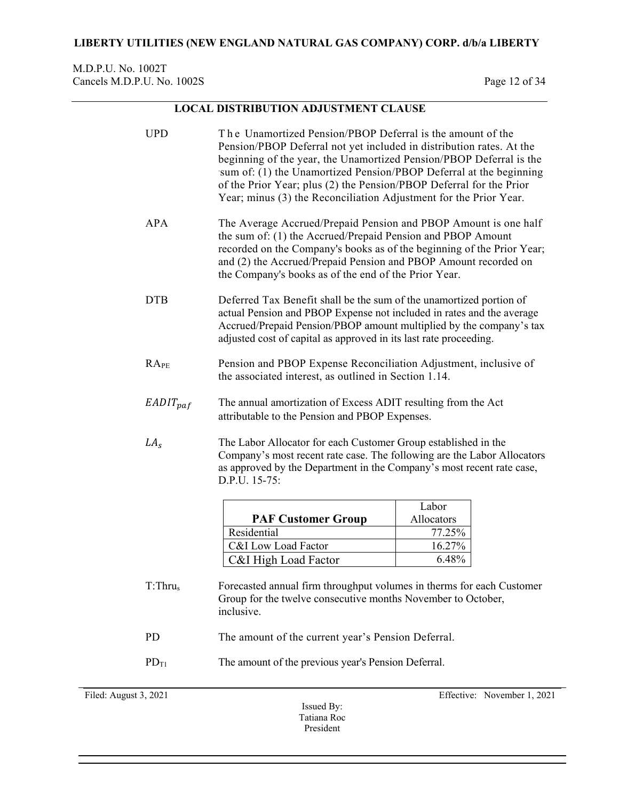## M.D.P.U. No. 1002T Cancels M.D.P.U. No. 1002S Page 12 of 34

# **LOCAL DISTRIBUTION ADJUSTMENT CLAUSE**

| <b>UPD</b>           | The Unamortized Pension/PBOP Deferral is the amount of the<br>Pension/PBOP Deferral not yet included in distribution rates. At the<br>beginning of the year, the Unamortized Pension/PBOP Deferral is the<br>sum of: (1) the Unamortized Pension/PBOP Deferral at the beginning<br>of the Prior Year; plus (2) the Pension/PBOP Deferral for the Prior<br>Year; minus (3) the Reconciliation Adjustment for the Prior Year. |            |
|----------------------|-----------------------------------------------------------------------------------------------------------------------------------------------------------------------------------------------------------------------------------------------------------------------------------------------------------------------------------------------------------------------------------------------------------------------------|------------|
| APA                  | The Average Accrued/Prepaid Pension and PBOP Amount is one half<br>the sum of: (1) the Accrued/Prepaid Pension and PBOP Amount<br>recorded on the Company's books as of the beginning of the Prior Year;<br>and (2) the Accrued/Prepaid Pension and PBOP Amount recorded on<br>the Company's books as of the end of the Prior Year.                                                                                         |            |
| <b>DTB</b>           | Deferred Tax Benefit shall be the sum of the unamortized portion of<br>actual Pension and PBOP Expense not included in rates and the average<br>Accrued/Prepaid Pension/PBOP amount multiplied by the company's tax<br>adjusted cost of capital as approved in its last rate proceeding.                                                                                                                                    |            |
| RA <sub>PE</sub>     | Pension and PBOP Expense Reconciliation Adjustment, inclusive of<br>the associated interest, as outlined in Section 1.14.                                                                                                                                                                                                                                                                                                   |            |
| $EADIT_{paf}$        | The annual amortization of Excess ADIT resulting from the Act<br>attributable to the Pension and PBOP Expenses.                                                                                                                                                                                                                                                                                                             |            |
| LA <sub>s</sub>      | The Labor Allocator for each Customer Group established in the<br>Company's most recent rate case. The following are the Labor Allocators<br>as approved by the Department in the Company's most recent rate case,<br>D.P.U. 15-75:                                                                                                                                                                                         |            |
|                      |                                                                                                                                                                                                                                                                                                                                                                                                                             | Labor      |
|                      | <b>PAF Customer Group</b>                                                                                                                                                                                                                                                                                                                                                                                                   | Allocators |
|                      | Residential                                                                                                                                                                                                                                                                                                                                                                                                                 | 77.25%     |
|                      | C&I Low Load Factor                                                                                                                                                                                                                                                                                                                                                                                                         | 16.27%     |
|                      | C&I High Load Factor                                                                                                                                                                                                                                                                                                                                                                                                        | 6.48%      |
| T: Thru <sub>s</sub> | Forecasted annual firm throughput volumes in therms for each Customer<br>Group for the twelve consecutive months November to October,<br>inclusive.                                                                                                                                                                                                                                                                         |            |
| <b>PD</b>            | The amount of the current year's Pension Deferral.                                                                                                                                                                                                                                                                                                                                                                          |            |
| $PD_{T1}$            | The amount of the previous year's Pension Deferral.                                                                                                                                                                                                                                                                                                                                                                         |            |

Filed: August 3, 2021 Effective: November 1, 2021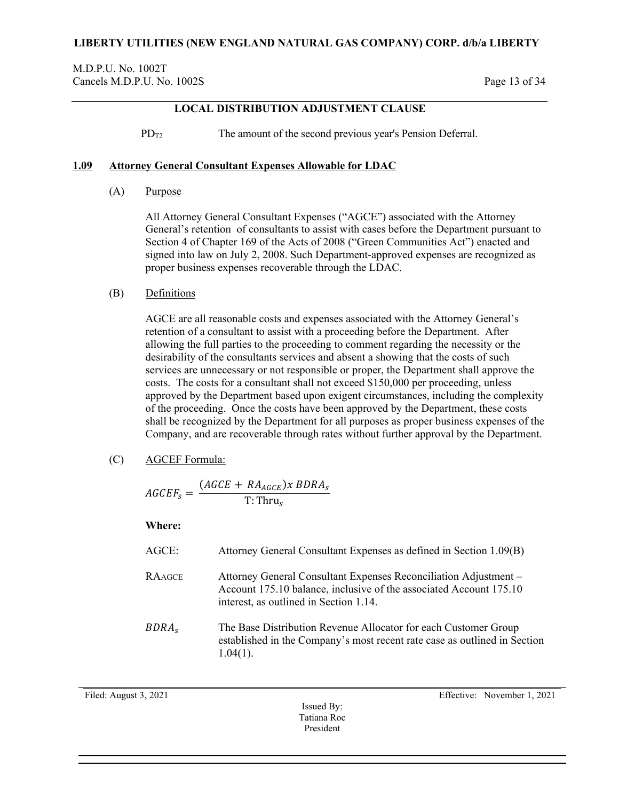M.D.P.U. No. 1002T Cancels M.D.P.U. No. 1002S Page 13 of 34

# **LOCAL DISTRIBUTION ADJUSTMENT CLAUSE**

 $PD_{T2}$  The amount of the second previous year's Pension Deferral.

### <span id="page-12-0"></span>**1.09 Attorney General Consultant Expenses Allowable for LDAC**

(A) Purpose

All Attorney General Consultant Expenses ("AGCE") associated with the Attorney General's retention of consultants to assist with cases before the Department pursuant to Section 4 of Chapter 169 of the Acts of 2008 ("Green Communities Act") enacted and signed into law on July 2, 2008. Such Department-approved expenses are recognized as proper business expenses recoverable through the LDAC.

### (B) Definitions

AGCE are all reasonable costs and expenses associated with the Attorney General's retention of a consultant to assist with a proceeding before the Department. After allowing the full parties to the proceeding to comment regarding the necessity or the desirability of the consultants services and absent a showing that the costs of such services are unnecessary or not responsible or proper, the Department shall approve the costs. The costs for a consultant shall not exceed \$150,000 per proceeding, unless approved by the Department based upon exigent circumstances, including the complexity of the proceeding. Once the costs have been approved by the Department, these costs shall be recognized by the Department for all purposes as proper business expenses of the Company, and are recoverable through rates without further approval by the Department.

(C) AGCEF Formula:

 $GCEF_s = \frac{(AGCE + RA_{AGCE}) \times BDRA}{T: Thru_s}$ 

**Where:**

| AGCE:             | Attorney General Consultant Expenses as defined in Section 1.09(B)                                                                                                               |
|-------------------|----------------------------------------------------------------------------------------------------------------------------------------------------------------------------------|
| <b>RAAGCE</b>     | Attorney General Consultant Expenses Reconciliation Adjustment -<br>Account 175.10 balance, inclusive of the associated Account 175.10<br>interest, as outlined in Section 1.14. |
| BDRA <sub>s</sub> | The Base Distribution Revenue Allocator for each Customer Group<br>established in the Company's most recent rate case as outlined in Section<br>$1.04(1)$ .                      |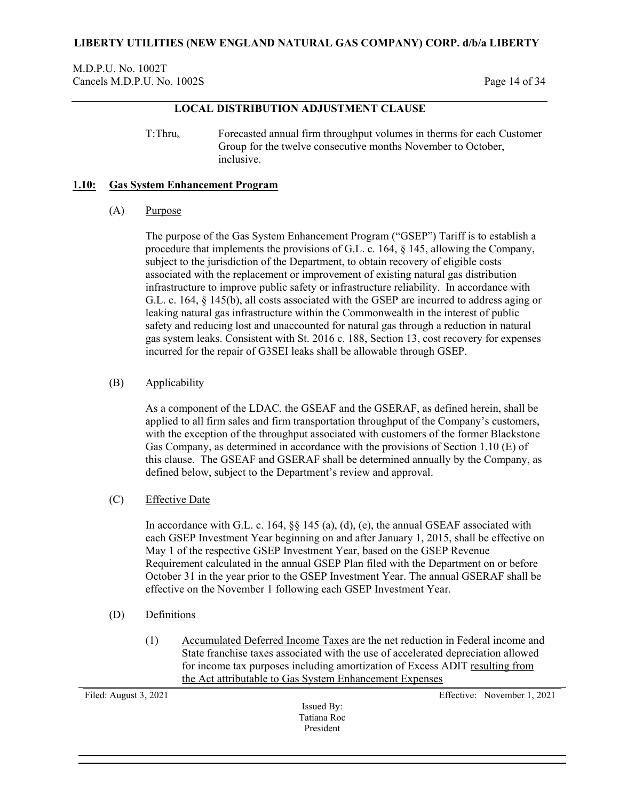M.D.P.U. No. 1002T Cancels M.D.P.U. No. 1002S Page 14 of 34

## **LOCAL DISTRIBUTION ADJUSTMENT CLAUSE**

T:Thrus Forecasted annual firm throughput volumes in therms for each Customer Group for the twelve consecutive months November to October, inclusive.

#### <span id="page-13-0"></span>**1.10: Gas System Enhancement Program**

### (A) Purpose

The purpose of the Gas System Enhancement Program ("GSEP") Tariff is to establish a procedure that implements the provisions of G.L. c. 164, § 145, allowing the Company, subject to the jurisdiction of the Department, to obtain recovery of eligible costs associated with the replacement or improvement of existing natural gas distribution infrastructure to improve public safety or infrastructure reliability. In accordance with G.L. c. 164, § 145(b), all costs associated with the GSEP are incurred to address aging or leaking natural gas infrastructure within the Commonwealth in the interest of public safety and reducing lost and unaccounted for natural gas through a reduction in natural gas system leaks. Consistent with St. 2016 c. 188, Section 13, cost recovery for expenses incurred for the repair of G3SEI leaks shall be allowable through GSEP.

## (B) Applicability

As a component of the LDAC, the GSEAF and the GSERAF, as defined herein, shall be applied to all firm sales and firm transportation throughput of the Company's customers, with the exception of the throughput associated with customers of the former Blackstone Gas Company, as determined in accordance with the provisions of Section 1.10 (E) of this clause. The GSEAF and GSERAF shall be determined annually by the Company, as defined below, subject to the Department's review and approval.

### (C) Effective Date

In accordance with G.L. c. 164, §§ 145 (a), (d), (e), the annual GSEAF associated with each GSEP Investment Year beginning on and after January 1, 2015, shall be effective on May 1 of the respective GSEP Investment Year, based on the GSEP Revenue Requirement calculated in the annual GSEP Plan filed with the Department on or before October 31 in the year prior to the GSEP Investment Year. The annual GSERAF shall be effective on the November 1 following each GSEP Investment Year.

- (D) Definitions
	- (1) Accumulated Deferred Income Taxes are the net reduction in Federal income and State franchise taxes associated with the use of accelerated depreciation allowed for income tax purposes including amortization of Excess ADIT resulting from the Act attributable to Gas System Enhancement Expenses

Filed: August 3, 2021 Effective: November 1, 2021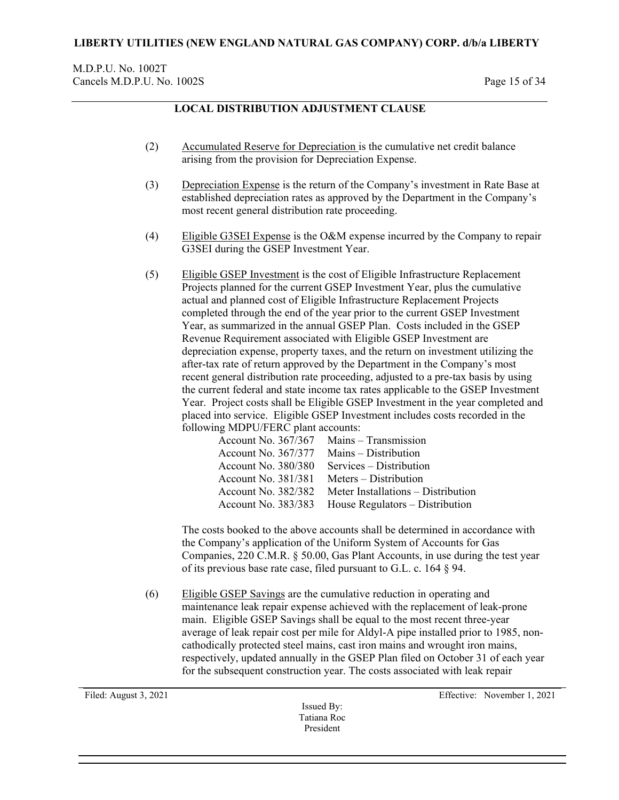# **LOCAL DISTRIBUTION ADJUSTMENT CLAUSE**

- (2) Accumulated Reserve for Depreciation is the cumulative net credit balance arising from the provision for Depreciation Expense.
- (3) Depreciation Expense is the return of the Company's investment in Rate Base at established depreciation rates as approved by the Department in the Company's most recent general distribution rate proceeding.
- (4) Eligible G3SEI Expense is the O&M expense incurred by the Company to repair G3SEI during the GSEP Investment Year.
- (5) Eligible GSEP Investment is the cost of Eligible Infrastructure Replacement Projects planned for the current GSEP Investment Year, plus the cumulative actual and planned cost of Eligible Infrastructure Replacement Projects completed through the end of the year prior to the current GSEP Investment Year, as summarized in the annual GSEP Plan. Costs included in the GSEP Revenue Requirement associated with Eligible GSEP Investment are depreciation expense, property taxes, and the return on investment utilizing the after-tax rate of return approved by the Department in the Company's most recent general distribution rate proceeding, adjusted to a pre-tax basis by using the current federal and state income tax rates applicable to the GSEP Investment Year. Project costs shall be Eligible GSEP Investment in the year completed and placed into service. Eligible GSEP Investment includes costs recorded in the following MDPU/FERC plant accounts:

| Account No. 367/367 Mains – Transmission |
|------------------------------------------|
| Mains - Distribution                     |
| Services – Distribution                  |
| Meters – Distribution                    |
| Meter Installations – Distribution       |
| House Regulators – Distribution          |
|                                          |

The costs booked to the above accounts shall be determined in accordance with the Company's application of the Uniform System of Accounts for Gas Companies, 220 C.M.R. § 50.00, Gas Plant Accounts, in use during the test year of its previous base rate case, filed pursuant to G.L. c. 164 § 94.

(6) Eligible GSEP Savings are the cumulative reduction in operating and maintenance leak repair expense achieved with the replacement of leak-prone main. Eligible GSEP Savings shall be equal to the most recent three-year average of leak repair cost per mile for Aldyl-A pipe installed prior to 1985, noncathodically protected steel mains, cast iron mains and wrought iron mains, respectively, updated annually in the GSEP Plan filed on October 31 of each year for the subsequent construction year. The costs associated with leak repair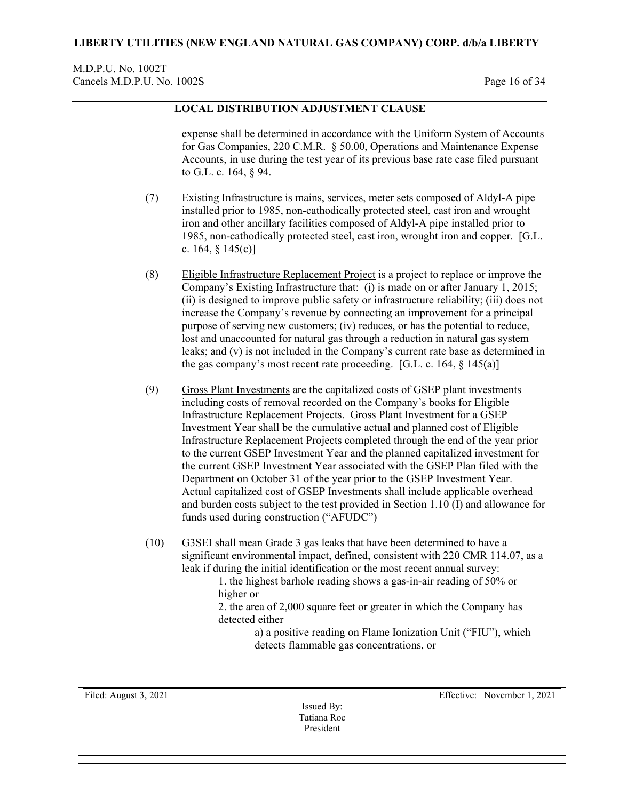### M.D.P.U. No. 1002T Cancels M.D.P.U. No. 1002S Page 16 of 34

## **LOCAL DISTRIBUTION ADJUSTMENT CLAUSE**

expense shall be determined in accordance with the Uniform System of Accounts for Gas Companies, 220 C.M.R. § 50.00, Operations and Maintenance Expense Accounts, in use during the test year of its previous base rate case filed pursuant to G.L. c. 164, § 94.

- (7) Existing Infrastructure is mains, services, meter sets composed of Aldyl-A pipe installed prior to 1985, non-cathodically protected steel, cast iron and wrought iron and other ancillary facilities composed of Aldyl-A pipe installed prior to 1985, non-cathodically protected steel, cast iron, wrought iron and copper. [G.L. c. 164,  $\S$  145(c)]
- (8) Eligible Infrastructure Replacement Project is a project to replace or improve the Company's Existing Infrastructure that: (i) is made on or after January 1, 2015; (ii) is designed to improve public safety or infrastructure reliability; (iii) does not increase the Company's revenue by connecting an improvement for a principal purpose of serving new customers; (iv) reduces, or has the potential to reduce, lost and unaccounted for natural gas through a reduction in natural gas system leaks; and (v) is not included in the Company's current rate base as determined in the gas company's most recent rate proceeding. [G.L. c. 164,  $\S$  145(a)]
- (9) Gross Plant Investments are the capitalized costs of GSEP plant investments including costs of removal recorded on the Company's books for Eligible Infrastructure Replacement Projects. Gross Plant Investment for a GSEP Investment Year shall be the cumulative actual and planned cost of Eligible Infrastructure Replacement Projects completed through the end of the year prior to the current GSEP Investment Year and the planned capitalized investment for the current GSEP Investment Year associated with the GSEP Plan filed with the Department on October 31 of the year prior to the GSEP Investment Year. Actual capitalized cost of GSEP Investments shall include applicable overhead and burden costs subject to the test provided in Section 1.10 (I) and allowance for funds used during construction ("AFUDC")
- (10) G3SEI shall mean Grade 3 gas leaks that have been determined to have a significant environmental impact, defined, consistent with 220 CMR 114.07, as a leak if during the initial identification or the most recent annual survey:

1. the highest barhole reading shows a gas-in-air reading of 50% or higher or

2. the area of 2,000 square feet or greater in which the Company has detected either

> a) a positive reading on Flame Ionization Unit ("FIU"), which detects flammable gas concentrations, or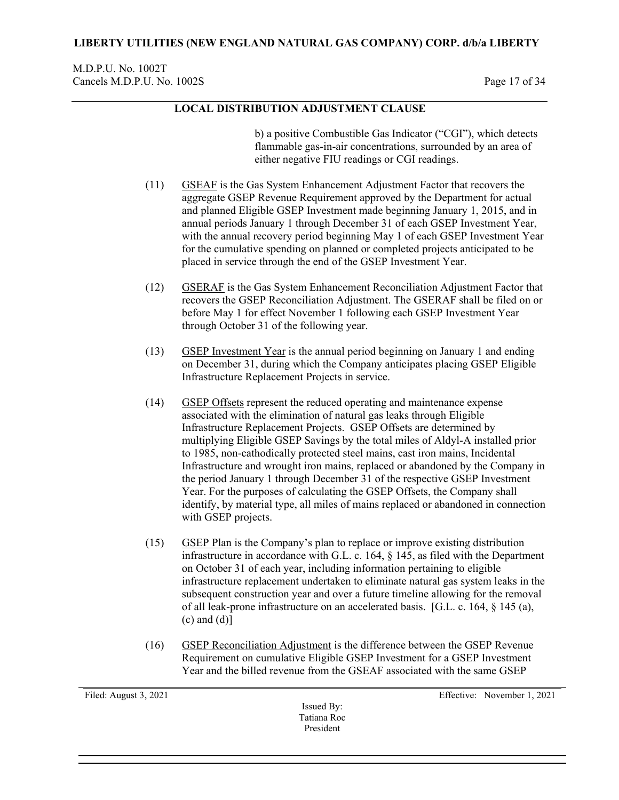## M.D.P.U. No. 1002T Cancels M.D.P.U. No. 1002S Page 17 of 34

# **LOCAL DISTRIBUTION ADJUSTMENT CLAUSE**

b) a positive Combustible Gas Indicator ("CGI"), which detects flammable gas-in-air concentrations, surrounded by an area of either negative FIU readings or CGI readings.

- (11) GSEAF is the Gas System Enhancement Adjustment Factor that recovers the aggregate GSEP Revenue Requirement approved by the Department for actual and planned Eligible GSEP Investment made beginning January 1, 2015, and in annual periods January 1 through December 31 of each GSEP Investment Year, with the annual recovery period beginning May 1 of each GSEP Investment Year for the cumulative spending on planned or completed projects anticipated to be placed in service through the end of the GSEP Investment Year.
- (12) GSERAF is the Gas System Enhancement Reconciliation Adjustment Factor that recovers the GSEP Reconciliation Adjustment. The GSERAF shall be filed on or before May 1 for effect November 1 following each GSEP Investment Year through October 31 of the following year.
- (13) GSEP Investment Year is the annual period beginning on January 1 and ending on December 31, during which the Company anticipates placing GSEP Eligible Infrastructure Replacement Projects in service.
- (14) GSEP Offsets represent the reduced operating and maintenance expense associated with the elimination of natural gas leaks through Eligible Infrastructure Replacement Projects. GSEP Offsets are determined by multiplying Eligible GSEP Savings by the total miles of Aldyl-A installed prior to 1985, non-cathodically protected steel mains, cast iron mains, Incidental Infrastructure and wrought iron mains, replaced or abandoned by the Company in the period January 1 through December 31 of the respective GSEP Investment Year. For the purposes of calculating the GSEP Offsets, the Company shall identify, by material type, all miles of mains replaced or abandoned in connection with GSEP projects.
- (15) GSEP Plan is the Company's plan to replace or improve existing distribution infrastructure in accordance with G.L. c. 164, § 145, as filed with the Department on October 31 of each year, including information pertaining to eligible infrastructure replacement undertaken to eliminate natural gas system leaks in the subsequent construction year and over a future timeline allowing for the removal of all leak-prone infrastructure on an accelerated basis. [G.L. c. 164, § 145 (a),  $(c)$  and  $(d)$ ]
- (16) GSEP Reconciliation Adjustment is the difference between the GSEP Revenue Requirement on cumulative Eligible GSEP Investment for a GSEP Investment Year and the billed revenue from the GSEAF associated with the same GSEP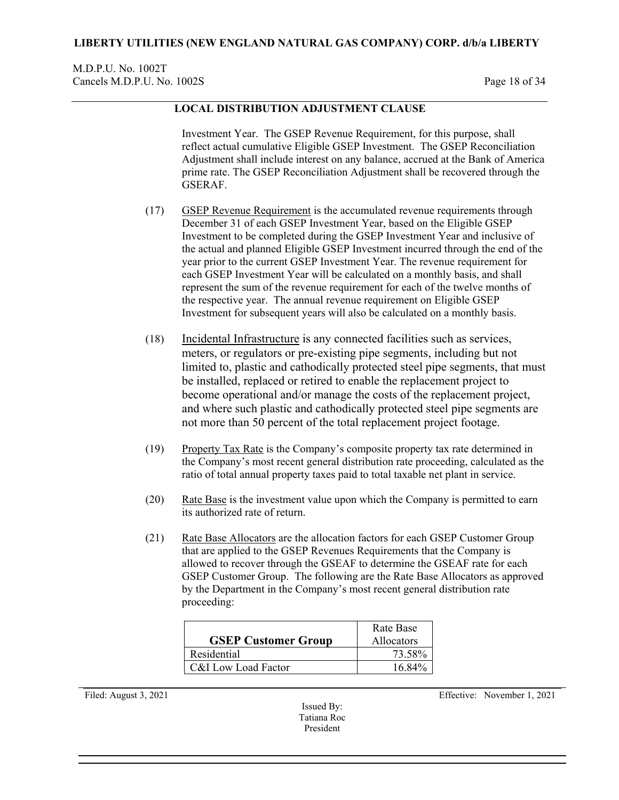### M.D.P.U. No. 1002T Cancels M.D.P.U. No. 1002S Page 18 of 34

## **LOCAL DISTRIBUTION ADJUSTMENT CLAUSE**

Investment Year. The GSEP Revenue Requirement, for this purpose, shall reflect actual cumulative Eligible GSEP Investment. The GSEP Reconciliation Adjustment shall include interest on any balance, accrued at the Bank of America prime rate. The GSEP Reconciliation Adjustment shall be recovered through the GSERAF.

- (17) GSEP Revenue Requirement is the accumulated revenue requirements through December 31 of each GSEP Investment Year, based on the Eligible GSEP Investment to be completed during the GSEP Investment Year and inclusive of the actual and planned Eligible GSEP Investment incurred through the end of the year prior to the current GSEP Investment Year. The revenue requirement for each GSEP Investment Year will be calculated on a monthly basis, and shall represent the sum of the revenue requirement for each of the twelve months of the respective year. The annual revenue requirement on Eligible GSEP Investment for subsequent years will also be calculated on a monthly basis.
- (18) Incidental Infrastructure is any connected facilities such as services, meters, or regulators or pre-existing pipe segments, including but not limited to, plastic and cathodically protected steel pipe segments, that must be installed, replaced or retired to enable the replacement project to become operational and/or manage the costs of the replacement project, and where such plastic and cathodically protected steel pipe segments are not more than 50 percent of the total replacement project footage.
- (19) Property Tax Rate is the Company's composite property tax rate determined in the Company's most recent general distribution rate proceeding, calculated as the ratio of total annual property taxes paid to total taxable net plant in service.
- $(20)$  Rate Base is the investment value upon which the Company is permitted to earn its authorized rate of return.
- (21) Rate Base Allocators are the allocation factors for each GSEP Customer Group that are applied to the GSEP Revenues Requirements that the Company is allowed to recover through the GSEAF to determine the GSEAF rate for each GSEP Customer Group. The following are the Rate Base Allocators as approved by the Department in the Company's most recent general distribution rate proceeding:

| <b>GSEP Customer Group</b> | Rate Base<br><b>Allocators</b> |
|----------------------------|--------------------------------|
| Residential                | 73.58%                         |
| C&I Low Load Factor        | 16.84%                         |

Issued By: Tatiana Roc President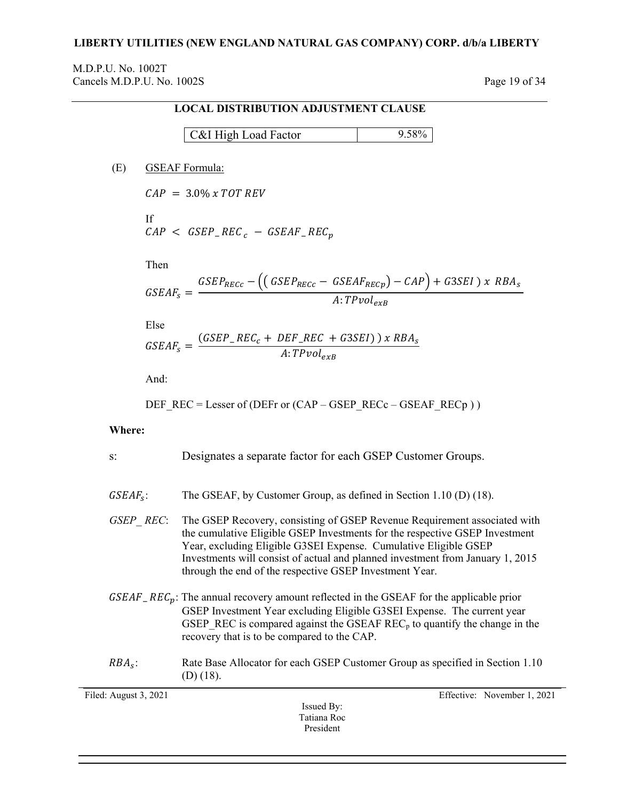### **LIBERTY UTILITIES (NEW ENGLAND NATURAL GAS COMPANY) CORP. d/b/a LIBERTY**

M.D.P.U. No. 1002T Cancels M.D.P.U. No. 1002S Page 19 of 34

# **LOCAL DISTRIBUTION ADJUSTMENT CLAUSE**

| C&I High Load Factor | $\Omega$ 500/ |
|----------------------|---------------|
|----------------------|---------------|

(E) GSEAF Formula:

 $CAP = 3.0\% \times TOT$  REV

If  $\overline{CAP} < GSEP\_REC_c - GSEARCH\_REC_p$ 

Then

$$
GSEAF_s = \frac{GSEP_{RECc} - ((GSEP_{RECc} - GSEAF_{REcp}) - CAP) + G3SEI \times RBA_s}{A:TPvol_{exB}}
$$

Else

$$
GSEAF_s = \frac{(GSEP\_REC_c + DEF\_REC + G3SEI)) \times RBA_s}{A:TPvol_{exB}}
$$

And:

$$
DEF\_REC = Lesser of (DEFr or (CAP - GSEP\_RECc - GSEARCH\_RECp))
$$

### **Where:**

| $S$ :                 | Designates a separate factor for each GSEP Customer Groups.                                                                                                                                                                                                                                                                                                                         |
|-----------------------|-------------------------------------------------------------------------------------------------------------------------------------------------------------------------------------------------------------------------------------------------------------------------------------------------------------------------------------------------------------------------------------|
| $GSEAF_s$ :           | The GSEAF, by Customer Group, as defined in Section 1.10 (D) (18).                                                                                                                                                                                                                                                                                                                  |
|                       | GSEP REC: The GSEP Recovery, consisting of GSEP Revenue Requirement associated with<br>the cumulative Eligible GSEP Investments for the respective GSEP Investment<br>Year, excluding Eligible G3SEI Expense. Cumulative Eligible GSEP<br>Investments will consist of actual and planned investment from January 1, 2015<br>through the end of the respective GSEP Investment Year. |
|                       | $GSEAF$ <sub>r</sub> $REC_p$ : The annual recovery amount reflected in the GSEAF for the applicable prior<br>GSEP Investment Year excluding Eligible G3SEI Expense. The current year<br>GSEP REC is compared against the GSEAF REC <sub>p</sub> to quantify the change in the<br>recovery that is to be compared to the CAP.                                                        |
| $RBAs$ :              | Rate Base Allocator for each GSEP Customer Group as specified in Section 1.10<br>$(D)$ (18).                                                                                                                                                                                                                                                                                        |
| Filed: August 3, 2021 | Effective: November 1, 2021                                                                                                                                                                                                                                                                                                                                                         |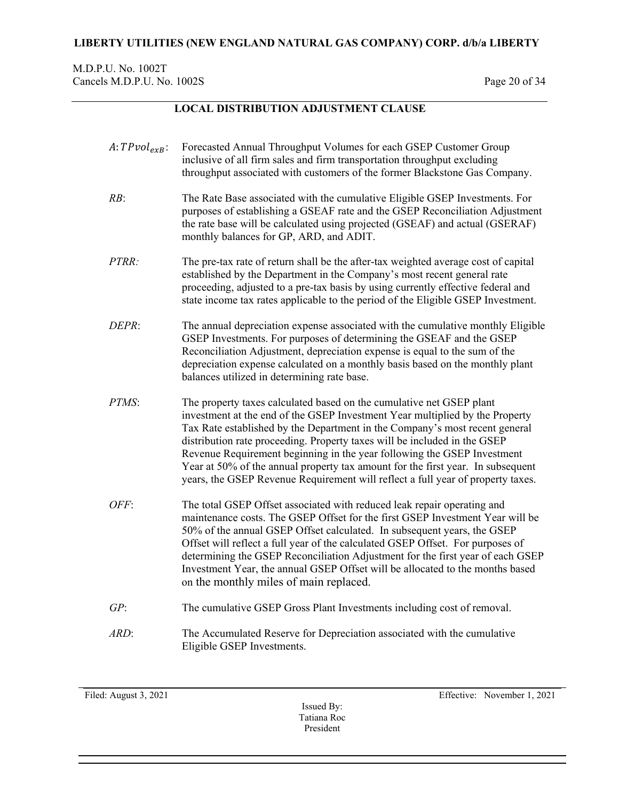## M.D.P.U. No. 1002T Cancels M.D.P.U. No. 1002S Page 20 of 34

# **LOCAL DISTRIBUTION ADJUSTMENT CLAUSE**

| $A:TPvol_{exB}:$ | Forecasted Annual Throughput Volumes for each GSEP Customer Group<br>inclusive of all firm sales and firm transportation throughput excluding<br>throughput associated with customers of the former Blackstone Gas Company.                                                                                                                                                                                                                                                                                                                                       |
|------------------|-------------------------------------------------------------------------------------------------------------------------------------------------------------------------------------------------------------------------------------------------------------------------------------------------------------------------------------------------------------------------------------------------------------------------------------------------------------------------------------------------------------------------------------------------------------------|
| RB:              | The Rate Base associated with the cumulative Eligible GSEP Investments. For<br>purposes of establishing a GSEAF rate and the GSEP Reconciliation Adjustment<br>the rate base will be calculated using projected (GSEAF) and actual (GSERAF)<br>monthly balances for GP, ARD, and ADIT.                                                                                                                                                                                                                                                                            |
| PTRR:            | The pre-tax rate of return shall be the after-tax weighted average cost of capital<br>established by the Department in the Company's most recent general rate<br>proceeding, adjusted to a pre-tax basis by using currently effective federal and<br>state income tax rates applicable to the period of the Eligible GSEP Investment.                                                                                                                                                                                                                             |
| DEPR:            | The annual depreciation expense associated with the cumulative monthly Eligible<br>GSEP Investments. For purposes of determining the GSEAF and the GSEP<br>Reconciliation Adjustment, depreciation expense is equal to the sum of the<br>depreciation expense calculated on a monthly basis based on the monthly plant<br>balances utilized in determining rate base.                                                                                                                                                                                             |
| <i>PTMS:</i>     | The property taxes calculated based on the cumulative net GSEP plant<br>investment at the end of the GSEP Investment Year multiplied by the Property<br>Tax Rate established by the Department in the Company's most recent general<br>distribution rate proceeding. Property taxes will be included in the GSEP<br>Revenue Requirement beginning in the year following the GSEP Investment<br>Year at 50% of the annual property tax amount for the first year. In subsequent<br>years, the GSEP Revenue Requirement will reflect a full year of property taxes. |
| OFF:             | The total GSEP Offset associated with reduced leak repair operating and<br>maintenance costs. The GSEP Offset for the first GSEP Investment Year will be<br>50% of the annual GSEP Offset calculated. In subsequent years, the GSEP<br>Offset will reflect a full year of the calculated GSEP Offset. For purposes of<br>determining the GSEP Reconciliation Adjustment for the first year of each GSEP<br>Investment Year, the annual GSEP Offset will be allocated to the months based<br>on the monthly miles of main replaced.                                |
| GP:              | The cumulative GSEP Gross Plant Investments including cost of removal.                                                                                                                                                                                                                                                                                                                                                                                                                                                                                            |
| ARD:             | The Accumulated Reserve for Depreciation associated with the cumulative<br>Eligible GSEP Investments.                                                                                                                                                                                                                                                                                                                                                                                                                                                             |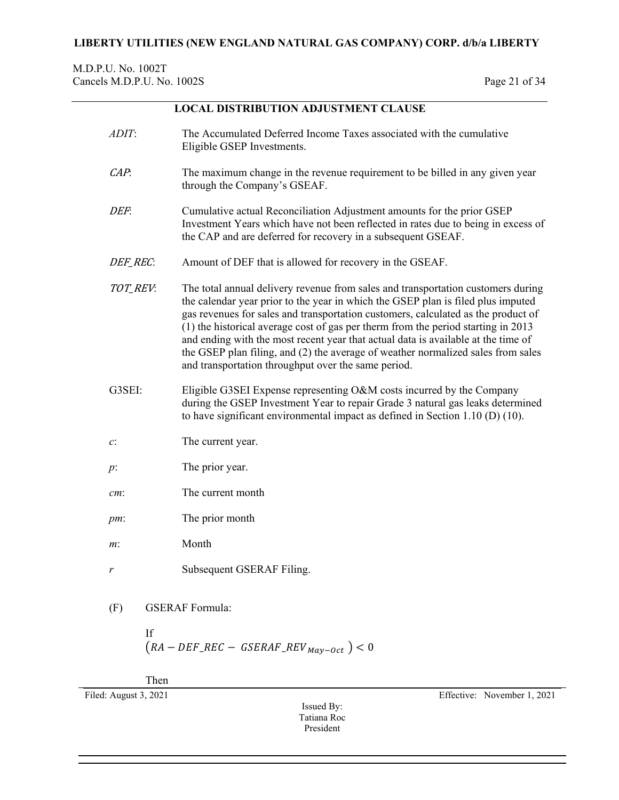M.D.P.U. No. 1002T Cancels M.D.P.U. No. 1002S Page 21 of 34

# **LOCAL DISTRIBUTION ADJUSTMENT CLAUSE**

| ADIT:<br>The Accumulated Deferred Income Taxes associated with the cumulative<br>Eligible GSEP Investments. |                        |                                                                                                                                                                                                                                                                                                                                                                                                                                                                                                                                                                                                                                            |  |  |
|-------------------------------------------------------------------------------------------------------------|------------------------|--------------------------------------------------------------------------------------------------------------------------------------------------------------------------------------------------------------------------------------------------------------------------------------------------------------------------------------------------------------------------------------------------------------------------------------------------------------------------------------------------------------------------------------------------------------------------------------------------------------------------------------------|--|--|
| CAP.                                                                                                        |                        | The maximum change in the revenue requirement to be billed in any given year<br>through the Company's GSEAF.                                                                                                                                                                                                                                                                                                                                                                                                                                                                                                                               |  |  |
| DEF.                                                                                                        |                        | Cumulative actual Reconciliation Adjustment amounts for the prior GSEP<br>Investment Years which have not been reflected in rates due to being in excess of<br>the CAP and are deferred for recovery in a subsequent GSEAF.                                                                                                                                                                                                                                                                                                                                                                                                                |  |  |
| DEF_REC:                                                                                                    |                        | Amount of DEF that is allowed for recovery in the GSEAF.<br>The total annual delivery revenue from sales and transportation customers during<br>the calendar year prior to the year in which the GSEP plan is filed plus imputed<br>gas revenues for sales and transportation customers, calculated as the product of<br>(1) the historical average cost of gas per therm from the period starting in 2013<br>and ending with the most recent year that actual data is available at the time of<br>the GSEP plan filing, and (2) the average of weather normalized sales from sales<br>and transportation throughput over the same period. |  |  |
| TOT_REV:                                                                                                    |                        |                                                                                                                                                                                                                                                                                                                                                                                                                                                                                                                                                                                                                                            |  |  |
| G3SEI:                                                                                                      |                        | Eligible G3SEI Expense representing O&M costs incurred by the Company<br>during the GSEP Investment Year to repair Grade 3 natural gas leaks determined<br>to have significant environmental impact as defined in Section 1.10 $(D)$ (10).                                                                                                                                                                                                                                                                                                                                                                                                 |  |  |
| c:                                                                                                          | The current year.      |                                                                                                                                                                                                                                                                                                                                                                                                                                                                                                                                                                                                                                            |  |  |
| $p$ :                                                                                                       | The prior year.        |                                                                                                                                                                                                                                                                                                                                                                                                                                                                                                                                                                                                                                            |  |  |
| cm:                                                                                                         | The current month      |                                                                                                                                                                                                                                                                                                                                                                                                                                                                                                                                                                                                                                            |  |  |
| pm:                                                                                                         | The prior month        |                                                                                                                                                                                                                                                                                                                                                                                                                                                                                                                                                                                                                                            |  |  |
| $m$ :                                                                                                       | Month                  |                                                                                                                                                                                                                                                                                                                                                                                                                                                                                                                                                                                                                                            |  |  |
| r                                                                                                           |                        | Subsequent GSERAF Filing.                                                                                                                                                                                                                                                                                                                                                                                                                                                                                                                                                                                                                  |  |  |
| (F)                                                                                                         | <b>GSERAF</b> Formula: |                                                                                                                                                                                                                                                                                                                                                                                                                                                                                                                                                                                                                                            |  |  |
|                                                                                                             | If                     | $(RA - DEF\_REC - GSERAF\_REV_{Mav-Oct}) < 0$                                                                                                                                                                                                                                                                                                                                                                                                                                                                                                                                                                                              |  |  |
|                                                                                                             | Then                   |                                                                                                                                                                                                                                                                                                                                                                                                                                                                                                                                                                                                                                            |  |  |
| Filed: August 3, 2021                                                                                       |                        | Effective: November 1, 2021                                                                                                                                                                                                                                                                                                                                                                                                                                                                                                                                                                                                                |  |  |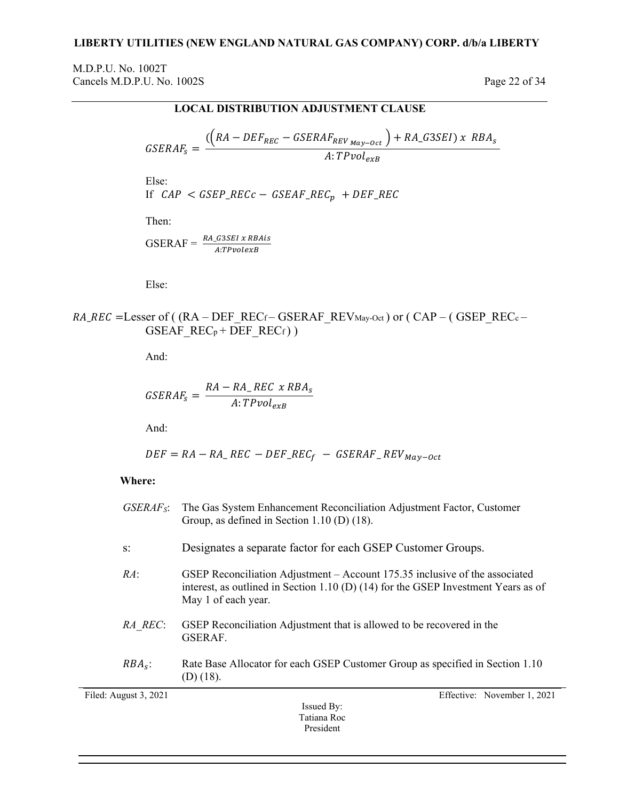## M.D.P.U. No. 1002T Cancels M.D.P.U. No. 1002S Page 22 of 34

## **LOCAL DISTRIBUTION ADJUSTMENT CLAUSE**

 $= \frac{((RA - DEF_{REC} - GSERAF_{REV_{May-Oct}}) + RA_{G3SEL}) \times R}{4 \cdot T_{Piol}}$ : T $\mathcal{P}vol_{exB}$ 

Else:

$$
If CAP < GSEP\_RECc - GSEARCH\_REC_p + DEF\_REC
$$

Then:

$$
GSERAF = \frac{RA_{\text{-}}G3SEI \times RBAis}{A:TPvolexB}
$$

Else:

# $RA\_REC$  =Lesser of ( $(RA - DEF\_REC_f - GSERAF\_REV_{May-Oct})$  or  $(CAP - (GSEP\_REC_c GSEAF\_REC_{p} + \overline{DEF\_REC_{f}}$ )

And:

$$
GSERAF_s = \frac{RA - RA_{-}REC \times RBA_s}{A:TPvol_{exB}}
$$

And:

$$
DEF = RA - RA \cdot REC - DEF \cdot REC_f - GSERAF \cdot REV_{May-Oct}
$$

### **Where:**

| Filed: August 3, 2021 | Effective: November 1, 2021<br>Issued Bv·                                                                                                                                                |
|-----------------------|------------------------------------------------------------------------------------------------------------------------------------------------------------------------------------------|
| $RBAs$ :              | Rate Base Allocator for each GSEP Customer Group as specified in Section 1.10<br>$(D)$ (18).                                                                                             |
| RA REC:               | GSEP Reconciliation Adjustment that is allowed to be recovered in the<br>GSERAF.                                                                                                         |
| RA:                   | GSEP Reconciliation Adjustment - Account 175.35 inclusive of the associated<br>interest, as outlined in Section 1.10 (D) (14) for the GSEP Investment Years as of<br>May 1 of each year. |
| $S$ :                 | Designates a separate factor for each GSEP Customer Groups.                                                                                                                              |
| $GSEARCH_{S}:$        | The Gas System Enhancement Reconciliation Adjustment Factor, Customer<br>Group, as defined in Section 1.10 (D) $(18)$ .                                                                  |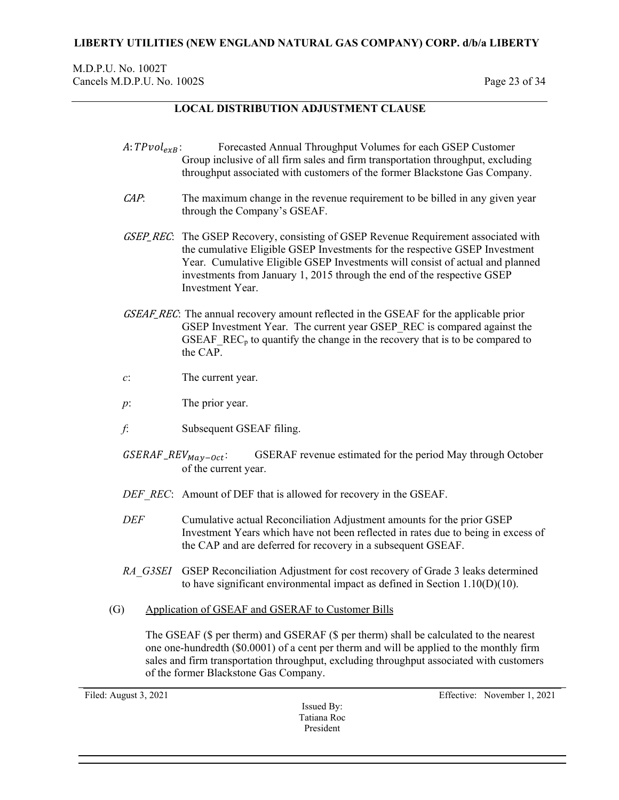## M.D.P.U. No. 1002T Cancels M.D.P.U. No. 1002S Page 23 of 34

# **LOCAL DISTRIBUTION ADJUSTMENT CLAUSE**

- $A: TPvol_{exB}:$  Forecasted Annual Throughput Volumes for each GSEP Customer Group inclusive of all firm sales and firm transportation throughput, excluding throughput associated with customers of the former Blackstone Gas Company.
- CAP: The maximum change in the revenue requirement to be billed in any given year through the Company's GSEAF.
- GSEP REC: The GSEP Recovery, consisting of GSEP Revenue Requirement associated with the cumulative Eligible GSEP Investments for the respective GSEP Investment Year. Cumulative Eligible GSEP Investments will consist of actual and planned investments from January 1, 2015 through the end of the respective GSEP Investment Year.
- GSEAF REC: The annual recovery amount reflected in the GSEAF for the applicable prior GSEP Investment Year. The current year GSEP\_REC is compared against the GSEAF  $REC<sub>p</sub>$  to quantify the change in the recovery that is to be compared to the CAP.
- *c*: The current year.
- *p*: The prior year.
- *f*: Subsequent GSEAF filing.
- $GSERAF\_REV_{Mav-Oct}$ : GSERAF revenue estimated for the period May through October of the current year.
- *DEF\_REC*: Amount of DEF that is allowed for recovery in the GSEAF.
- *DEF* Cumulative actual Reconciliation Adjustment amounts for the prior GSEP Investment Years which have not been reflected in rates due to being in excess of the CAP and are deferred for recovery in a subsequent GSEAF.
- *RA\_G3SEI* GSEP Reconciliation Adjustment for cost recovery of Grade 3 leaks determined to have significant environmental impact as defined in Section 1.10(D)(10).
- (G) Application of GSEAF and GSERAF to Customer Bills

The GSEAF (\$ per therm) and GSERAF (\$ per therm) shall be calculated to the nearest one one-hundredth (\$0.0001) of a cent per therm and will be applied to the monthly firm sales and firm transportation throughput, excluding throughput associated with customers of the former Blackstone Gas Company.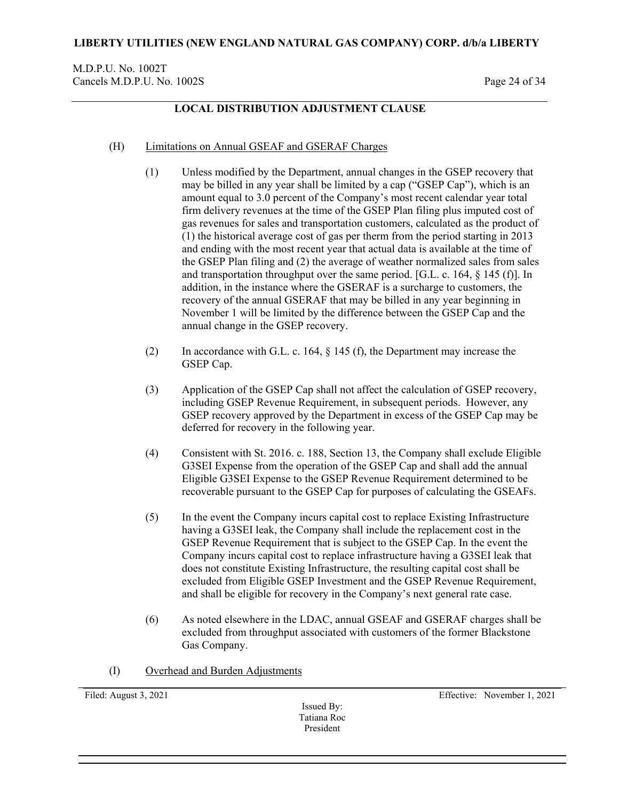## **LOCAL DISTRIBUTION ADJUSTMENT CLAUSE**

### (H) Limitations on Annual GSEAF and GSERAF Charges

- (1) Unless modified by the Department, annual changes in the GSEP recovery that may be billed in any year shall be limited by a cap ("GSEP Cap"), which is an amount equal to 3.0 percent of the Company's most recent calendar year total firm delivery revenues at the time of the GSEP Plan filing plus imputed cost of gas revenues for sales and transportation customers, calculated as the product of (1) the historical average cost of gas per therm from the period starting in 2013 and ending with the most recent year that actual data is available at the time of the GSEP Plan filing and (2) the average of weather normalized sales from sales and transportation throughput over the same period. [G.L. c. 164, § 145 (f)]. In addition, in the instance where the GSERAF is a surcharge to customers, the recovery of the annual GSERAF that may be billed in any year beginning in November 1 will be limited by the difference between the GSEP Cap and the annual change in the GSEP recovery.
- (2) In accordance with G.L. c. 164, § 145 (f), the Department may increase the GSEP Cap.
- (3) Application of the GSEP Cap shall not affect the calculation of GSEP recovery, including GSEP Revenue Requirement, in subsequent periods. However, any GSEP recovery approved by the Department in excess of the GSEP Cap may be deferred for recovery in the following year.
- (4) Consistent with St. 2016. c. 188, Section 13, the Company shall exclude Eligible G3SEI Expense from the operation of the GSEP Cap and shall add the annual Eligible G3SEI Expense to the GSEP Revenue Requirement determined to be recoverable pursuant to the GSEP Cap for purposes of calculating the GSEAFs.
- (5) In the event the Company incurs capital cost to replace Existing Infrastructure having a G3SEI leak, the Company shall include the replacement cost in the GSEP Revenue Requirement that is subject to the GSEP Cap. In the event the Company incurs capital cost to replace infrastructure having a G3SEI leak that does not constitute Existing Infrastructure, the resulting capital cost shall be excluded from Eligible GSEP Investment and the GSEP Revenue Requirement, and shall be eligible for recovery in the Company's next general rate case.
- (6) As noted elsewhere in the LDAC, annual GSEAF and GSERAF charges shall be excluded from throughput associated with customers of the former Blackstone Gas Company.
- (I) Overhead and Burden Adjustments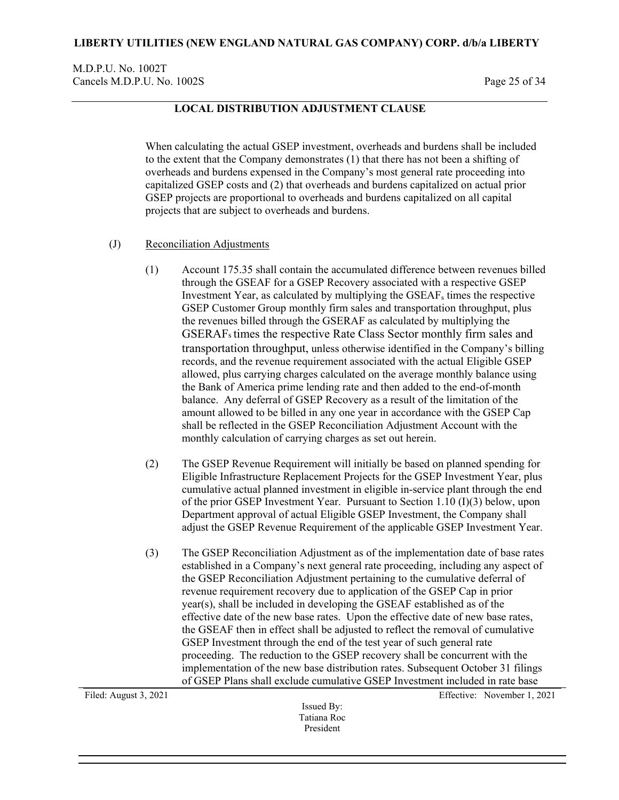M.D.P.U. No. 1002T Cancels M.D.P.U. No. 1002S Page 25 of 34

## **LOCAL DISTRIBUTION ADJUSTMENT CLAUSE**

When calculating the actual GSEP investment, overheads and burdens shall be included to the extent that the Company demonstrates (1) that there has not been a shifting of overheads and burdens expensed in the Company's most general rate proceeding into capitalized GSEP costs and (2) that overheads and burdens capitalized on actual prior GSEP projects are proportional to overheads and burdens capitalized on all capital projects that are subject to overheads and burdens.

- (J) Reconciliation Adjustments
	- (1) Account 175.35 shall contain the accumulated difference between revenues billed through the GSEAF for a GSEP Recovery associated with a respective GSEP Investment Year, as calculated by multiplying the  $GSEAF_s$  times the respective GSEP Customer Group monthly firm sales and transportation throughput, plus the revenues billed through the GSERAF as calculated by multiplying the GSERAFs times the respective Rate Class Sector monthly firm sales and transportation throughput, unless otherwise identified in the Company's billing records, and the revenue requirement associated with the actual Eligible GSEP allowed, plus carrying charges calculated on the average monthly balance using the Bank of America prime lending rate and then added to the end-of-month balance. Any deferral of GSEP Recovery as a result of the limitation of the amount allowed to be billed in any one year in accordance with the GSEP Cap shall be reflected in the GSEP Reconciliation Adjustment Account with the monthly calculation of carrying charges as set out herein.
	- (2) The GSEP Revenue Requirement will initially be based on planned spending for Eligible Infrastructure Replacement Projects for the GSEP Investment Year, plus cumulative actual planned investment in eligible in-service plant through the end of the prior GSEP Investment Year. Pursuant to Section 1.10 (I)(3) below, upon Department approval of actual Eligible GSEP Investment, the Company shall adjust the GSEP Revenue Requirement of the applicable GSEP Investment Year.
	- (3) The GSEP Reconciliation Adjustment as of the implementation date of base rates established in a Company's next general rate proceeding, including any aspect of the GSEP Reconciliation Adjustment pertaining to the cumulative deferral of revenue requirement recovery due to application of the GSEP Cap in prior year(s), shall be included in developing the GSEAF established as of the effective date of the new base rates. Upon the effective date of new base rates, the GSEAF then in effect shall be adjusted to reflect the removal of cumulative GSEP Investment through the end of the test year of such general rate proceeding. The reduction to the GSEP recovery shall be concurrent with the implementation of the new base distribution rates. Subsequent October 31 filings of GSEP Plans shall exclude cumulative GSEP Investment included in rate base

Issued By: Tatiana Roc President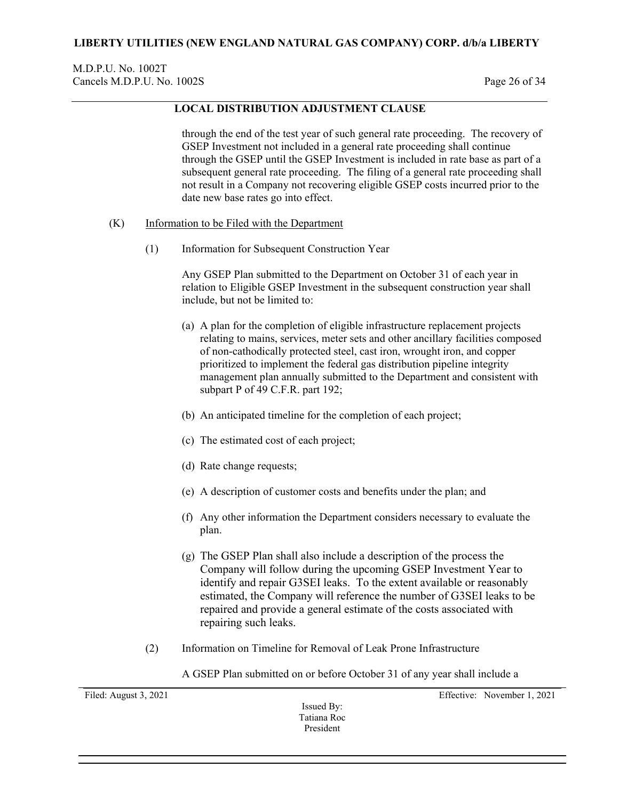## M.D.P.U. No. 1002T Cancels M.D.P.U. No. 1002S Page 26 of 34

## **LOCAL DISTRIBUTION ADJUSTMENT CLAUSE**

through the end of the test year of such general rate proceeding. The recovery of GSEP Investment not included in a general rate proceeding shall continue through the GSEP until the GSEP Investment is included in rate base as part of a subsequent general rate proceeding. The filing of a general rate proceeding shall not result in a Company not recovering eligible GSEP costs incurred prior to the date new base rates go into effect.

- (K) Information to be Filed with the Department
	- (1) Information for Subsequent Construction Year

Any GSEP Plan submitted to the Department on October 31 of each year in relation to Eligible GSEP Investment in the subsequent construction year shall include, but not be limited to:

- (a) A plan for the completion of eligible infrastructure replacement projects relating to mains, services, meter sets and other ancillary facilities composed of non-cathodically protected steel, cast iron, wrought iron, and copper prioritized to implement the federal gas distribution pipeline integrity management plan annually submitted to the Department and consistent with subpart P of 49 C.F.R. part 192;
- (b) An anticipated timeline for the completion of each project;
- (c) The estimated cost of each project;
- (d) Rate change requests;
- (e) A description of customer costs and benefits under the plan; and
- (f) Any other information the Department considers necessary to evaluate the plan.
- (g) The GSEP Plan shall also include a description of the process the Company will follow during the upcoming GSEP Investment Year to identify and repair G3SEI leaks. To the extent available or reasonably estimated, the Company will reference the number of G3SEI leaks to be repaired and provide a general estimate of the costs associated with repairing such leaks.
- (2) Information on Timeline for Removal of Leak Prone Infrastructure

A GSEP Plan submitted on or before October 31 of any year shall include a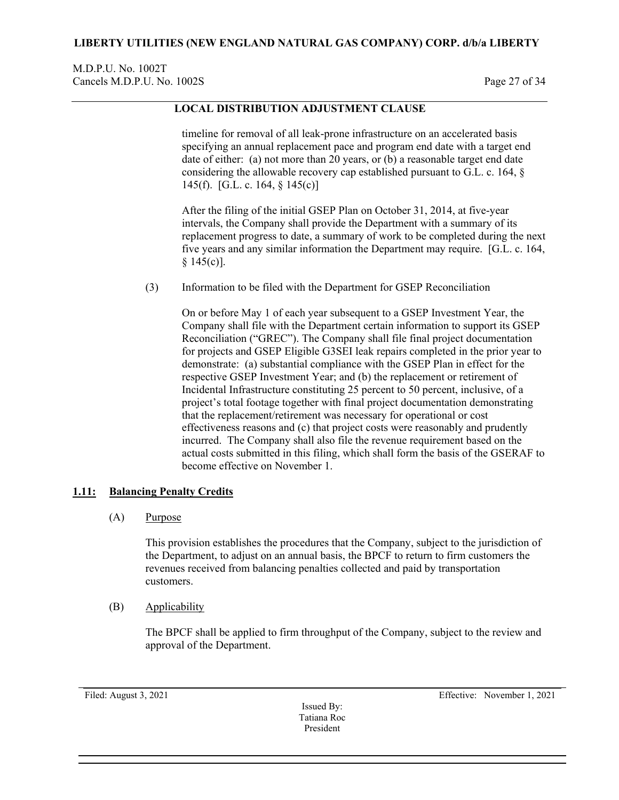## M.D.P.U. No. 1002T Cancels M.D.P.U. No. 1002S Page 27 of 34

# **LOCAL DISTRIBUTION ADJUSTMENT CLAUSE**

timeline for removal of all leak-prone infrastructure on an accelerated basis specifying an annual replacement pace and program end date with a target end date of either: (a) not more than 20 years, or (b) a reasonable target end date considering the allowable recovery cap established pursuant to G.L. c. 164, § 145(f). [G.L. c. 164, § 145(c)]

After the filing of the initial GSEP Plan on October 31, 2014, at five-year intervals, the Company shall provide the Department with a summary of its replacement progress to date, a summary of work to be completed during the next five years and any similar information the Department may require. [G.L. c. 164, § 145(c)].

(3) Information to be filed with the Department for GSEP Reconciliation

On or before May 1 of each year subsequent to a GSEP Investment Year, the Company shall file with the Department certain information to support its GSEP Reconciliation ("GREC"). The Company shall file final project documentation for projects and GSEP Eligible G3SEI leak repairs completed in the prior year to demonstrate: (a) substantial compliance with the GSEP Plan in effect for the respective GSEP Investment Year; and (b) the replacement or retirement of Incidental Infrastructure constituting 25 percent to 50 percent, inclusive, of a project's total footage together with final project documentation demonstrating that the replacement/retirement was necessary for operational or cost effectiveness reasons and (c) that project costs were reasonably and prudently incurred. The Company shall also file the revenue requirement based on the actual costs submitted in this filing, which shall form the basis of the GSERAF to become effective on November 1.

### <span id="page-26-0"></span>**1.11: Balancing Penalty Credits**

(A) Purpose

This provision establishes the procedures that the Company, subject to the jurisdiction of the Department, to adjust on an annual basis, the BPCF to return to firm customers the revenues received from balancing penalties collected and paid by transportation customers.

(B) Applicability

The BPCF shall be applied to firm throughput of the Company, subject to the review and approval of the Department.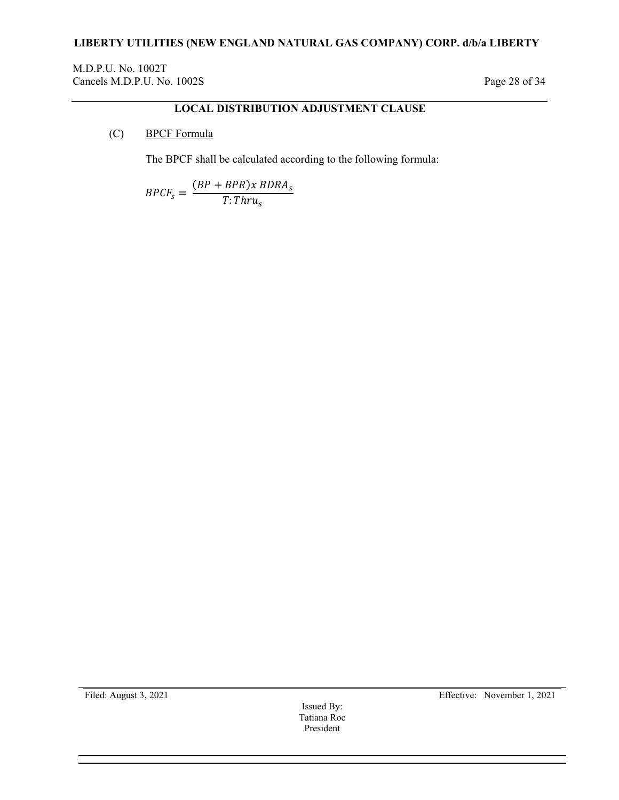M.D.P.U. No. 1002T Cancels M.D.P.U. No. 1002S Page 28 of 34

# **LOCAL DISTRIBUTION ADJUSTMENT CLAUSE**

(C) BPCF Formula

The BPCF shall be calculated according to the following formula:

$$
BPCF_s = \frac{(BP + BPR)x BDRA_s}{T: Thru_s}
$$

Issued By: Tatiana Roc President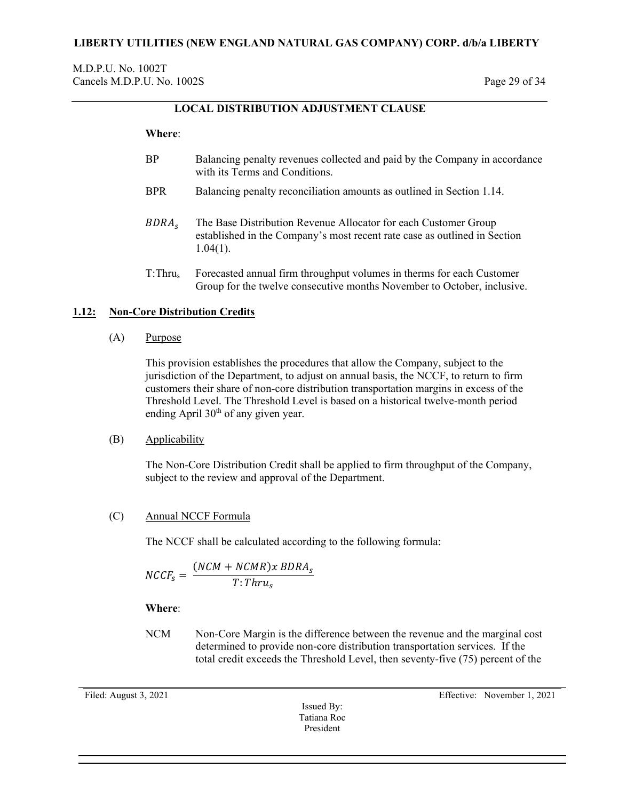# **LOCAL DISTRIBUTION ADJUSTMENT CLAUSE**

### **Where**:

- BP Balancing penalty revenues collected and paid by the Company in accordance with its Terms and Conditions.
- BPR Balancing penalty reconciliation amounts as outlined in Section 1.14.
- BDRA<sub>s</sub> The Base Distribution Revenue Allocator for each Customer Group established in the Company's most recent rate case as outlined in Section 1.04(1).
- T:Thrus Forecasted annual firm throughput volumes in therms for each Customer Group for the twelve consecutive months November to October, inclusive.

## <span id="page-28-0"></span>**1.12: Non-Core Distribution Credits**

(A) Purpose

This provision establishes the procedures that allow the Company, subject to the jurisdiction of the Department, to adjust on annual basis, the NCCF, to return to firm customers their share of non-core distribution transportation margins in excess of the Threshold Level. The Threshold Level is based on a historical twelve-month period ending April  $30<sup>th</sup>$  of any given year.

### (B) Applicability

The Non-Core Distribution Credit shall be applied to firm throughput of the Company, subject to the review and approval of the Department.

## (C) Annual NCCF Formula

The NCCF shall be calculated according to the following formula:

$$
NCCF_s = \frac{(NCM + NCMR)x BDRA_s}{T: Thru_s}
$$

## **Where**:

NCM Non-Core Margin is the difference between the revenue and the marginal cost determined to provide non-core distribution transportation services. If the total credit exceeds the Threshold Level, then seventy-five (75) percent of the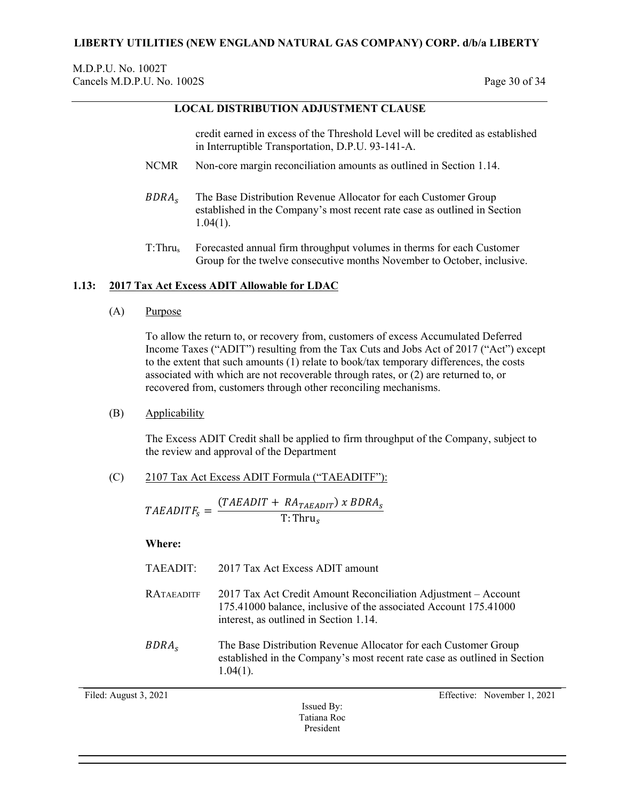## M.D.P.U. No. 1002T Cancels M.D.P.U. No. 1002S Page 30 of 34

# **LOCAL DISTRIBUTION ADJUSTMENT CLAUSE**

credit earned in excess of the Threshold Level will be credited as established in Interruptible Transportation, D.P.U. 93-141-A.

- NCMR Non-core margin reconciliation amounts as outlined in Section 1.14.
- The Base Distribution Revenue Allocator for each Customer Group established in the Company's most recent rate case as outlined in Section 1.04(1).
- T:Thrus Forecasted annual firm throughput volumes in therms for each Customer Group for the twelve consecutive months November to October, inclusive.

### <span id="page-29-0"></span>**1.13: 2017 Tax Act Excess ADIT Allowable for LDAC**

(A) Purpose

To allow the return to, or recovery from, customers of excess Accumulated Deferred Income Taxes ("ADIT") resulting from the Tax Cuts and Jobs Act of 2017 ("Act") except to the extent that such amounts (1) relate to book/tax temporary differences, the costs associated with which are not recoverable through rates, or (2) are returned to, or recovered from, customers through other reconciling mechanisms.

(B) Applicability

The Excess ADIT Credit shall be applied to firm throughput of the Company, subject to the review and approval of the Department

(C) 2107 Tax Act Excess ADIT Formula ("TAEADITF"):

 $=\frac{(TAEADIT + RA_{TAEADIT}) \times BDRA}{T: Thru_s}$ 

### **Where:**

| TAEADIT:          | 2017 Tax Act Excess ADIT amount                                                                                                                                              |
|-------------------|------------------------------------------------------------------------------------------------------------------------------------------------------------------------------|
| RATAEADITF        | 2017 Tax Act Credit Amount Reconciliation Adjustment – Account<br>175.41000 balance, inclusive of the associated Account 175.41000<br>interest, as outlined in Section 1.14. |
| BDRA <sub>s</sub> | The Base Distribution Revenue Allocator for each Customer Group<br>established in the Company's most recent rate case as outlined in Section<br>$1.04(1)$ .                  |

Issued By: Tatiana Roc President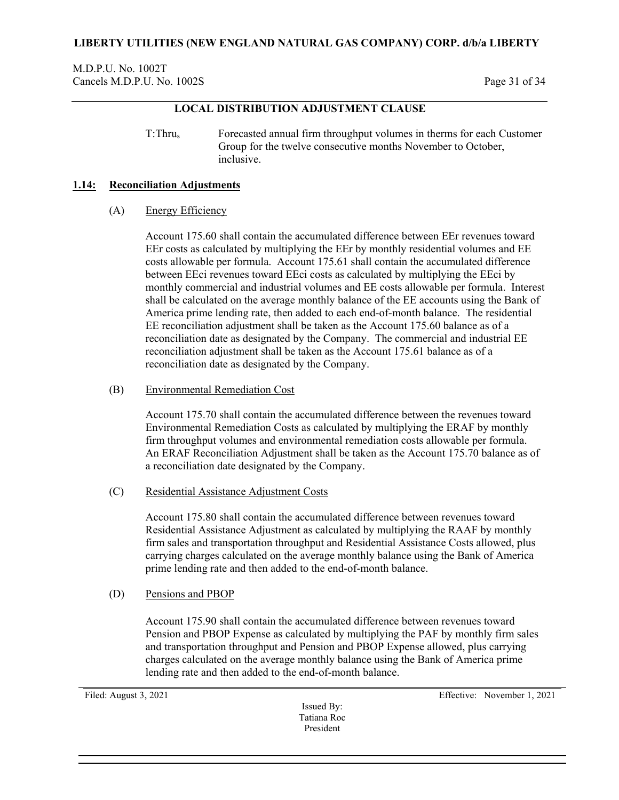M.D.P.U. No. 1002T Cancels M.D.P.U. No. 1002S Page 31 of 34

## **LOCAL DISTRIBUTION ADJUSTMENT CLAUSE**

T:Thrus Forecasted annual firm throughput volumes in therms for each Customer Group for the twelve consecutive months November to October, inclusive.

#### <span id="page-30-0"></span>**1.14: Reconciliation Adjustments**

### (A) Energy Efficiency

Account 175.60 shall contain the accumulated difference between EEr revenues toward EEr costs as calculated by multiplying the EEr by monthly residential volumes and EE costs allowable per formula. Account 175.61 shall contain the accumulated difference between EEci revenues toward EEci costs as calculated by multiplying the EEci by monthly commercial and industrial volumes and EE costs allowable per formula. Interest shall be calculated on the average monthly balance of the EE accounts using the Bank of America prime lending rate, then added to each end-of-month balance. The residential EE reconciliation adjustment shall be taken as the Account 175.60 balance as of a reconciliation date as designated by the Company. The commercial and industrial EE reconciliation adjustment shall be taken as the Account 175.61 balance as of a reconciliation date as designated by the Company.

### (B) Environmental Remediation Cost

Account 175.70 shall contain the accumulated difference between the revenues toward Environmental Remediation Costs as calculated by multiplying the ERAF by monthly firm throughput volumes and environmental remediation costs allowable per formula. An ERAF Reconciliation Adjustment shall be taken as the Account 175.70 balance as of a reconciliation date designated by the Company.

(C) Residential Assistance Adjustment Costs

Account 175.80 shall contain the accumulated difference between revenues toward Residential Assistance Adjustment as calculated by multiplying the RAAF by monthly firm sales and transportation throughput and Residential Assistance Costs allowed, plus carrying charges calculated on the average monthly balance using the Bank of America prime lending rate and then added to the end-of-month balance.

(D) Pensions and PBOP

Account 175.90 shall contain the accumulated difference between revenues toward Pension and PBOP Expense as calculated by multiplying the PAF by monthly firm sales and transportation throughput and Pension and PBOP Expense allowed, plus carrying charges calculated on the average monthly balance using the Bank of America prime lending rate and then added to the end-of-month balance.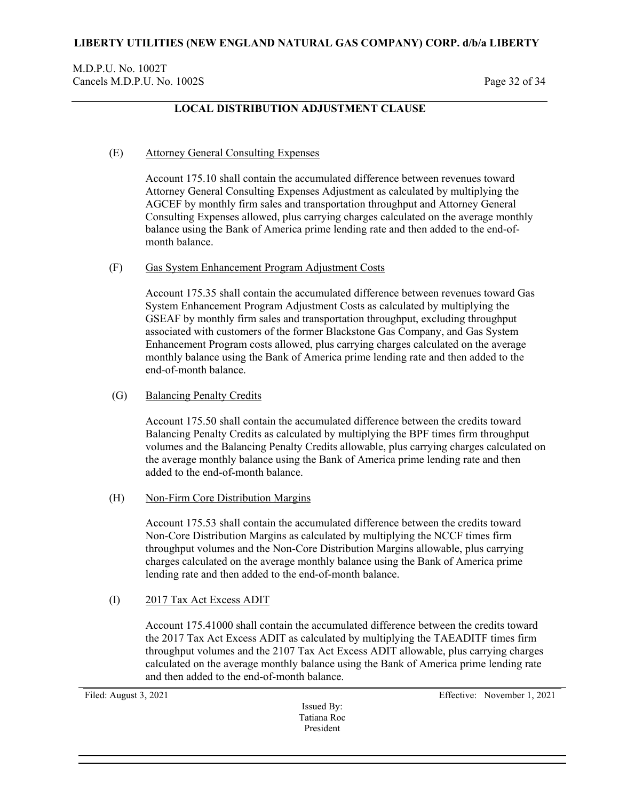# **LOCAL DISTRIBUTION ADJUSTMENT CLAUSE**

### (E) Attorney General Consulting Expenses

Account 175.10 shall contain the accumulated difference between revenues toward Attorney General Consulting Expenses Adjustment as calculated by multiplying the AGCEF by monthly firm sales and transportation throughput and Attorney General Consulting Expenses allowed, plus carrying charges calculated on the average monthly balance using the Bank of America prime lending rate and then added to the end-ofmonth balance.

### (F) Gas System Enhancement Program Adjustment Costs

Account 175.35 shall contain the accumulated difference between revenues toward Gas System Enhancement Program Adjustment Costs as calculated by multiplying the GSEAF by monthly firm sales and transportation throughput, excluding throughput associated with customers of the former Blackstone Gas Company, and Gas System Enhancement Program costs allowed, plus carrying charges calculated on the average monthly balance using the Bank of America prime lending rate and then added to the end-of-month balance.

### (G) Balancing Penalty Credits

Account 175.50 shall contain the accumulated difference between the credits toward Balancing Penalty Credits as calculated by multiplying the BPF times firm throughput volumes and the Balancing Penalty Credits allowable, plus carrying charges calculated on the average monthly balance using the Bank of America prime lending rate and then added to the end-of-month balance.

### (H) Non-Firm Core Distribution Margins

Account 175.53 shall contain the accumulated difference between the credits toward Non-Core Distribution Margins as calculated by multiplying the NCCF times firm throughput volumes and the Non-Core Distribution Margins allowable, plus carrying charges calculated on the average monthly balance using the Bank of America prime lending rate and then added to the end-of-month balance.

### (I) 2017 Tax Act Excess ADIT

Account 175.41000 shall contain the accumulated difference between the credits toward the 2017 Tax Act Excess ADIT as calculated by multiplying the TAEADITF times firm throughput volumes and the 2107 Tax Act Excess ADIT allowable, plus carrying charges calculated on the average monthly balance using the Bank of America prime lending rate and then added to the end-of-month balance.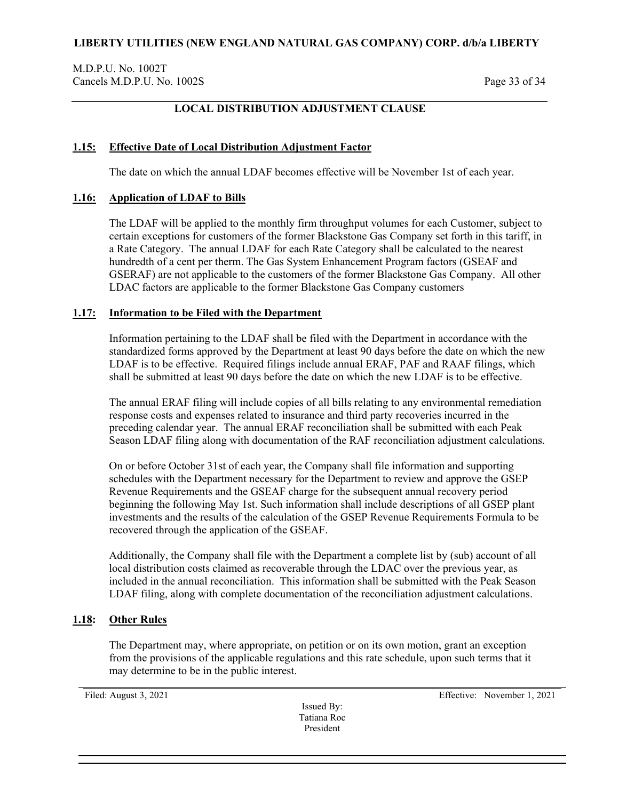M.D.P.U. No. 1002T Cancels M.D.P.U. No. 1002S Page 33 of 34

## **LOCAL DISTRIBUTION ADJUSTMENT CLAUSE**

### <span id="page-32-0"></span>**1.15: Effective Date of Local Distribution Adjustment Factor**

The date on which the annual LDAF becomes effective will be November 1st of each year.

### <span id="page-32-1"></span>**1.16: Application of LDAF to Bills**

The LDAF will be applied to the monthly firm throughput volumes for each Customer, subject to certain exceptions for customers of the former Blackstone Gas Company set forth in this tariff, in a Rate Category. The annual LDAF for each Rate Category shall be calculated to the nearest hundredth of a cent per therm. The Gas System Enhancement Program factors (GSEAF and GSERAF) are not applicable to the customers of the former Blackstone Gas Company. All other LDAC factors are applicable to the former Blackstone Gas Company customers

### <span id="page-32-2"></span>**1.17: Information to be Filed with the Department**

Information pertaining to the LDAF shall be filed with the Department in accordance with the standardized forms approved by the Department at least 90 days before the date on which the new LDAF is to be effective. Required filings include annual ERAF, PAF and RAAF filings, which shall be submitted at least 90 days before the date on which the new LDAF is to be effective.

The annual ERAF filing will include copies of all bills relating to any environmental remediation response costs and expenses related to insurance and third party recoveries incurred in the preceding calendar year. The annual ERAF reconciliation shall be submitted with each Peak Season LDAF filing along with documentation of the RAF reconciliation adjustment calculations.

On or before October 31st of each year, the Company shall file information and supporting schedules with the Department necessary for the Department to review and approve the GSEP Revenue Requirements and the GSEAF charge for the subsequent annual recovery period beginning the following May 1st. Such information shall include descriptions of all GSEP plant investments and the results of the calculation of the GSEP Revenue Requirements Formula to be recovered through the application of the GSEAF.

Additionally, the Company shall file with the Department a complete list by (sub) account of all local distribution costs claimed as recoverable through the LDAC over the previous year, as included in the annual reconciliation. This information shall be submitted with the Peak Season LDAF filing, along with complete documentation of the reconciliation adjustment calculations.

### <span id="page-32-3"></span>**1.18: Other Rules**

The Department may, where appropriate, on petition or on its own motion, grant an exception from the provisions of the applicable regulations and this rate schedule, upon such terms that it may determine to be in the public interest.

Issued By: Tatiana Roc President